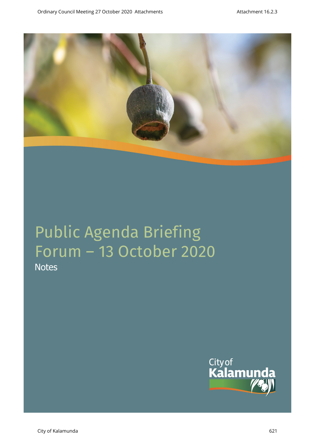

**Notes** 

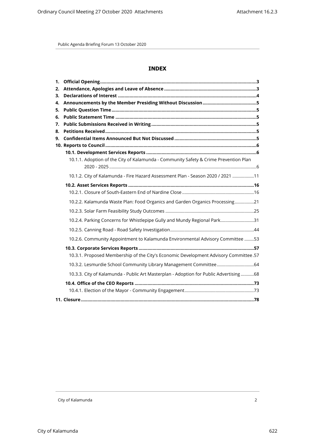# **INDEX**

| 1.       |                                                                                        |  |
|----------|----------------------------------------------------------------------------------------|--|
| 2.       |                                                                                        |  |
| 3.       |                                                                                        |  |
| 4.       |                                                                                        |  |
| 5.       |                                                                                        |  |
| 6.<br>7. |                                                                                        |  |
| 8.       |                                                                                        |  |
| 9.       |                                                                                        |  |
|          |                                                                                        |  |
|          |                                                                                        |  |
|          | 10.1.1. Adoption of the City of Kalamunda - Community Safety & Crime Prevention Plan   |  |
|          |                                                                                        |  |
|          | 10.1.2. City of Kalamunda - Fire Hazard Assessment Plan - Season 2020 / 2021 11        |  |
|          |                                                                                        |  |
|          |                                                                                        |  |
|          | 10.2.2. Kalamunda Waste Plan: Food Organics and Garden Organics Processing21           |  |
|          |                                                                                        |  |
|          | 10.2.4. Parking Concerns for Whistlepipe Gully and Mundy Regional Park31               |  |
|          |                                                                                        |  |
|          | 10.2.6. Community Appointment to Kalamunda Environmental Advisory Committee 53         |  |
|          |                                                                                        |  |
|          | 10.3.1. Proposed Membership of the City's Economic Development Advisory Committee.57   |  |
|          |                                                                                        |  |
|          | 10.3.3. City of Kalamunda - Public Art Masterplan - Adoption for Public Advertising 68 |  |
|          |                                                                                        |  |
|          |                                                                                        |  |
|          |                                                                                        |  |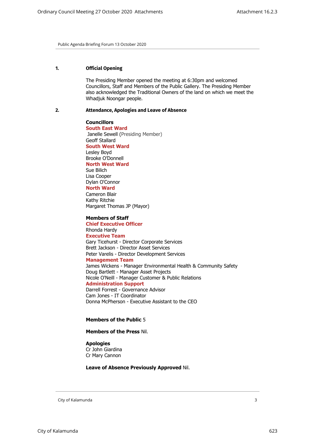# <span id="page-2-0"></span>**1. Official Opening**

The Presiding Member opened the meeting at 6:30pm and welcomed Councillors, Staff and Members of the Public Gallery. The Presiding Member also acknowledged the Traditional Owners of the land on which we meet the Whadjuk Noongar people.

## <span id="page-2-1"></span>**2. Attendance, Apologies and Leave of Absence**

**Councillors South East Ward**  Janelle Sewell (Presiding Member) Geoff Stallard **South West Ward** Lesley Boyd Brooke O'Donnell **North West Ward** Sue Bilich Lisa Cooper Dylan O'Connor **North Ward** Cameron Blair Kathy Ritchie Margaret Thomas JP (Mayor)

#### **Members of Staff**

**Chief Executive Officer** Rhonda Hardy **Executive Team** Gary Ticehurst - Director Corporate Services Brett Jackson - Director Asset Services Peter Varelis - Director Development Services **Management Team** James Wickens - Manager Environmental Health & Community Safety Doug Bartlett - Manager Asset Projects Nicole O'Neill - Manager Customer & Public Relations **Administration Support** Darrell Forrest - Governance Advisor Cam Jones - IT Coordinator Donna McPherson - Executive Assistant to the CEO

#### **Members of the Public** 5

#### **Members of the Press** Nil.

#### **Apologies**

Cr John Giardina Cr Mary Cannon

## **Leave of Absence Previously Approved** Nil.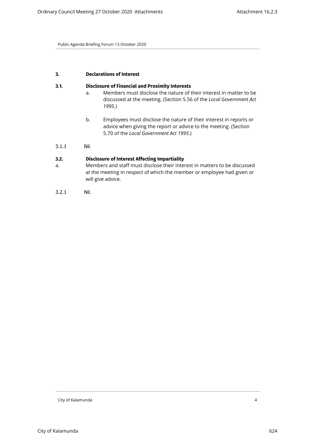## <span id="page-3-0"></span>**3. Declarations of Interest**

#### **3.1. Disclosure of Financial and Proximity Interests**

- a. Members must disclose the nature of their interest in matter to be discussed at the meeting. (Section 5.56 of the *Local Government Act 1995*.)
- b. Employees must disclose the nature of their interest in reports or advice when giving the report or advice to the meeting. (Section 5.70 of the *Local Government Act 1995*.)

# 3.1.1 Nil.

# **3.2. Disclosure of Interest Affecting Impartiality**

- a. Members and staff must disclose their interest in matters to be discussed at the meeting in respect of which the member or employee had given or will give advice.
- 3.2.1 Nil.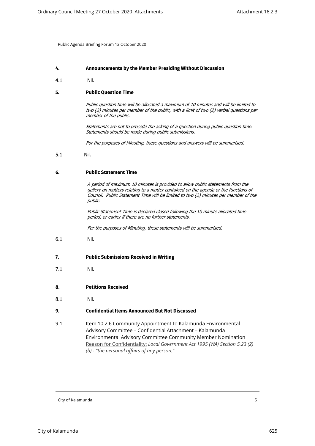#### <span id="page-4-1"></span><span id="page-4-0"></span>**4. Announcements by the Member Presiding Without Discussion**

4.1 Nil.

#### **5. Public Question Time**

*Public question time will be allocated a maximum of 10 minutes and will be limited to two (2) minutes per member of the public, with a limit of two (2) verbal questions per member of the public.*

*Statements are not to precede the asking of a question during public question time. Statements should be made during public submissions.*

*For the purposes of Minuting, these questions and answers will be summarised.*

<span id="page-4-2"></span>5.1 Nil.

#### **6. Public Statement Time**

*A period of maximum 10 minutes is provided to allow public statements from the gallery on matters relating to a matter contained on the agenda or the functions of Council. Public Statement Time will be limited to two (2) minutes per member of the public.*

*Public Statement Time is declared closed following the 10 minute allocated time period, or earlier if there are no further statements.* 

*For the purposes of Minuting, these statements will be summarised.*

6.1 Nil.

#### <span id="page-4-3"></span>**7. Public Submissions Received in Writing**

- 7.1 Nil.
- **8. Petitions Received**
- <span id="page-4-4"></span>8.1 Nil.

#### **9. Confidential Items Announced But Not Discussed**

<span id="page-4-5"></span>9.1 Item 10.2.6 Community Appointment to Kalamunda Environmental Advisory Committee – Confidential Attachment – Kalamunda Environmental Advisory Committee Community Member Nomination Reason for Confidentiality: *Local Government Act 1995 (WA) Section 5.23 (2) (b) - "the personal affairs of any person."*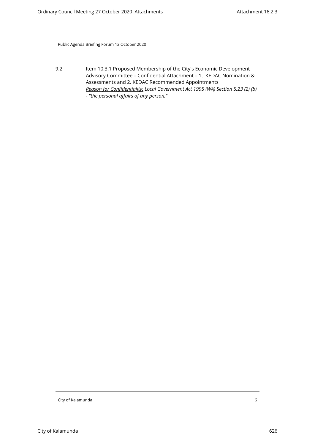9.2 Item 10.3.1 Proposed Membership of the City's Economic Development Advisory Committee – Confidential Attachment – 1. KEDAC Nomination & Assessments and 2. KEDAC Recommended Appointments *Reason for Confidentiality: Local Government Act 1995 (WA) Section 5.23 (2) (b) - "the personal affairs of any person."*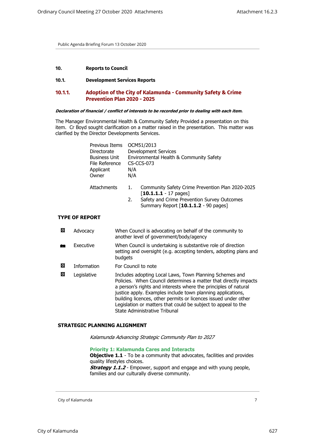#### <span id="page-6-2"></span><span id="page-6-1"></span><span id="page-6-0"></span>**10. Reports to Council**

## **10.1. Development Services Reports**

## **10.1.1. Adoption of the City of Kalamunda - Community Safety & Crime Prevention Plan 2020 - 2025**

# *Declaration of financial / conflict of interests to be recorded prior to dealing with each item.*

The Manager Environmental Health & Community Safety Provided a presentation on this item. Cr Boyd sought clarification on a matter raised in the presentation. This matter was clarified by the Director Developments Services.

| Previous Items       |                                         | OCM51/2013                                       |  |
|----------------------|-----------------------------------------|--------------------------------------------------|--|
| <b>Directorate</b>   | <b>Development Services</b>             |                                                  |  |
| <b>Business Unit</b> | Environmental Health & Community Safety |                                                  |  |
| File Reference       | $CS$ -CCS-073                           |                                                  |  |
| Applicant            | N/A                                     |                                                  |  |
| Owner                | N/A                                     |                                                  |  |
|                      |                                         |                                                  |  |
| Attachments          | 1.                                      | Community Safety Crime Prevention Plan 2020-2025 |  |
|                      |                                         | $[10.1.1.1 - 17$ pages]                          |  |
|                      | 2.                                      | Safety and Crime Prevention Survey Outcomes      |  |
|                      |                                         | Summary Report [10.1.1.2 - 90 pages]             |  |
|                      |                                         |                                                  |  |

# **TYPE OF REPORT**

| 囟 | Advocacy           | When Council is advocating on behalf of the community to<br>another level of government/body/agency                                                                                                                                                                                                                                                                                                                                |
|---|--------------------|------------------------------------------------------------------------------------------------------------------------------------------------------------------------------------------------------------------------------------------------------------------------------------------------------------------------------------------------------------------------------------------------------------------------------------|
|   | Executive          | When Council is undertaking is substantive role of direction<br>setting and oversight (e.g. accepting tenders, adopting plans and<br>budgets                                                                                                                                                                                                                                                                                       |
| 図 | <b>Information</b> | For Council to note                                                                                                                                                                                                                                                                                                                                                                                                                |
| ⊠ | Legislative        | Includes adopting Local Laws, Town Planning Schemes and<br>Policies. When Council determines a matter that directly impacts<br>a person's rights and interests where the principles of natural<br>justice apply. Examples include town planning applications,<br>building licences, other permits or licences issued under other<br>Legislation or matters that could be subject to appeal to the<br>State Administrative Tribunal |

#### **STRATEGIC PLANNING ALIGNMENT**

*Kalamunda Advancing Strategic Community Plan to 2027*

#### **Priority 1: Kalamunda Cares and Interacts**

**Objective 1.1** - To be a community that advocates, facilities and provides quality lifestyles choices. **Strategy 1.1.2** - Empower, support and engage and with young people, families and our culturally diverse community.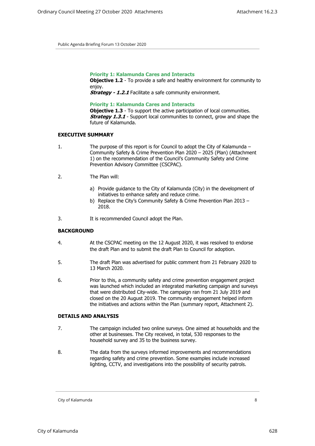**Priority 1: Kalamunda Cares and Interacts**

**Objective 1.2** - To provide a safe and healthy environment for community to enjoy.

**Strategy - 1.2.1** Facilitate a safe community environment.

**Priority 1: Kalamunda Cares and Interacts**

**Objective 1.3** - To support the active participation of local communities. **Strategy 1.3.1** - Support local communities to connect, grow and shape the future of Kalamunda.

#### **EXECUTIVE SUMMARY**

- 1. The purpose of this report is for Council to adopt the City of Kalamunda Community Safety & Crime Prevention Plan 2020 – 2025 (Plan) (Attachment 1) on the recommendation of the Council's Community Safety and Crime Prevention Advisory Committee (CSCPAC).
- 2. The Plan will:
	- a) Provide guidance to the City of Kalamunda (City) in the development of initiatives to enhance safety and reduce crime.
	- b) Replace the City's Community Safety & Crime Prevention Plan 2013 2018.
- 3. It is recommended Council adopt the Plan.

## **BACKGROUND**

- 4. At the CSCPAC meeting on the 12 August 2020, it was resolved to endorse the draft Plan and to submit the draft Plan to Council for adoption.
- 5. The draft Plan was advertised for public comment from 21 February 2020 to 13 March 2020.
- 6. Prior to this, a community safety and crime prevention engagement project was launched which included an integrated marketing campaign and surveys that were distributed City-wide. The campaign ran from 21 July 2019 and closed on the 20 August 2019. The community engagement helped inform the initiatives and actions within the Plan (summary report, Attachment 2).

## **DETAILS AND ANALYSIS**

- 7. The campaign included two online surveys. One aimed at households and the other at businesses. The City received, in total, 530 responses to the household survey and 35 to the business survey.
- 8. The data from the surveys informed improvements and recommendations regarding safety and crime prevention. Some examples include increased lighting, CCTV, and investigations into the possibility of security patrols.

City of Kalamunda 8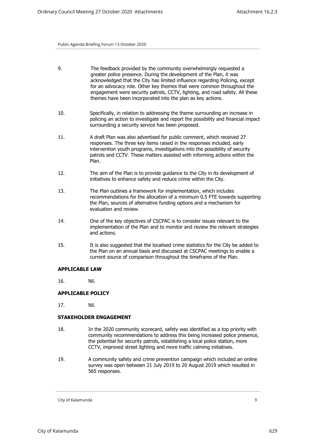| 9.  | The feedback provided by the community overwhelmingly requested a<br>greater police presence. During the development of the Plan, it was<br>acknowledged that the City has limited influence regarding Policing, except<br>for an advocacy role. Other key themes that were common throughout the<br>engagement were security patrols, CCTV, lighting, and road safety. All these<br>themes have been incorporated into the plan as key actions. |
|-----|--------------------------------------------------------------------------------------------------------------------------------------------------------------------------------------------------------------------------------------------------------------------------------------------------------------------------------------------------------------------------------------------------------------------------------------------------|
| 10. | Specifically, in relation to addressing the theme surrounding an increase in<br>policing an action to investigate and report the possibility and financial impact<br>surrounding a security service has been proposed.                                                                                                                                                                                                                           |
|     |                                                                                                                                                                                                                                                                                                                                                                                                                                                  |

- 11. A draft Plan was also advertised for public comment, which received 27 responses. The three key items raised in the responses included, early intervention youth programs, investigations into the possibility of security patrols and CCTV. These matters assisted with informing actions within the Plan.
- 12. The aim of the Plan is to provide guidance to the City in its development of initiatives to enhance safety and reduce crime within the City.
- 13. The Plan outlines a framework for implementation, which includes recommendations for the allocation of a minimum 0.5 FTE towards supporting the Plan, sources of alternative funding options and a mechanism for evaluation and review.
- 14. One of the key objectives of CSCPAC is to consider issues relevant to the implementation of the Plan and to monitor and review the relevant strategies and actions.
- 15. It is also suggested that the localised crime statistics for the City be added to the Plan on an annual basis and discussed at CSCPAC meetings to enable a current source of comparison throughout the timeframe of the Plan.

#### **APPLICABLE LAW**

16. Nil.

# **APPLICABLE POLICY**

17. Nil.

#### **STAKEHOLDER ENGAGEMENT**

- 18. In the 2020 community scorecard, safety was identified as a top priority with community recommendations to address this being increased police presence, the potential for security patrols, establishing a local police station, more CCTV, improved street lighting and more traffic calming initiatives.
- 19. A community safety and crime prevention campaign which included an online survey was open between 21 July 2019 to 20 August 2019 which resulted in 565 responses.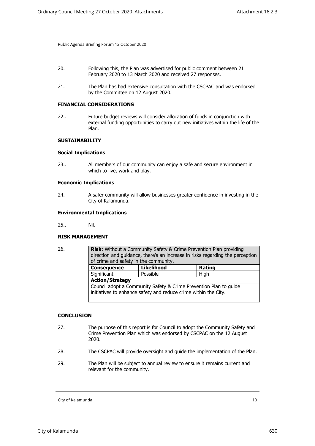- 20. Following this, the Plan was advertised for public comment between 21 February 2020 to 13 March 2020 and received 27 responses.
- 21. The Plan has had extensive consultation with the CSCPAC and was endorsed by the Committee on 12 August 2020.

## **FINANCIAL CONSIDERATIONS**

22.. Future budget reviews will consider allocation of funds in conjunction with external funding opportunities to carry out new initiatives within the life of the Plan.

## **SUSTAINABILITY**

#### **Social Implications**

23.. All members of our community can enjoy a safe and secure environment in which to live, work and play.

#### **Economic Implications**

24. A safer community will allow businesses greater confidence in investing in the City of Kalamunda.

#### **Environmental Implications**

25.. Nil.

#### **RISK MANAGEMENT**

| 26. | <b>Risk:</b> Without a Community Safety & Crime Prevention Plan providing<br>direction and guidance, there's an increase in risks regarding the perception<br>of crime and safety in the community. |                   |        |  |  |
|-----|-----------------------------------------------------------------------------------------------------------------------------------------------------------------------------------------------------|-------------------|--------|--|--|
|     | <b>Consequence</b>                                                                                                                                                                                  | <b>Likelihood</b> | Rating |  |  |
|     | Significant                                                                                                                                                                                         | Possible          | High   |  |  |
|     | <b>Action/Strategy</b>                                                                                                                                                                              |                   |        |  |  |
|     | Council adopt a Community Safety & Crime Prevention Plan to guide<br>initiatives to enhance safety and reduce crime within the City.                                                                |                   |        |  |  |

## **CONCLUSION**

- 27. The purpose of this report is for Council to adopt the Community Safety and Crime Prevention Plan which was endorsed by CSCPAC on the 12 August 2020.
- 28. The CSCPAC will provide oversight and guide the implementation of the Plan.
- 29. The Plan will be subject to annual review to ensure it remains current and relevant for the community.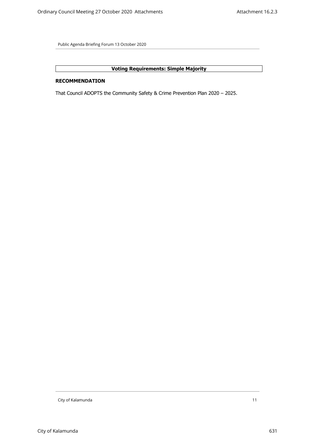# **Voting Requirements: Simple Majority**

# **RECOMMENDATION**

That Council ADOPTS the Community Safety & Crime Prevention Plan 2020 – 2025.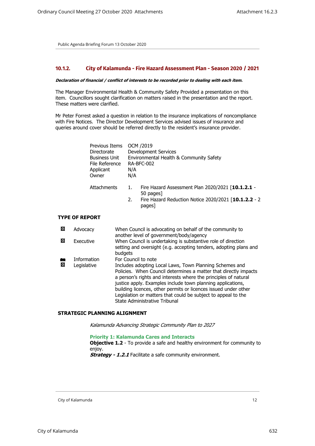## <span id="page-11-0"></span>**10.1.2. City of Kalamunda - Fire Hazard Assessment Plan - Season 2020 / 2021**

#### *Declaration of financial / conflict of interests to be recorded prior to dealing with each item.*

The Manager Environmental Health & Community Safety Provided a presentation on this item. Councillors sought clarification on matters raised in the presentation and the report. These matters were clarified.

Mr Peter Forrest asked a question in relation to the insurance implications of noncompliance with Fire Notices. The Director Development Services advised issues of insurance and queries around cover should be referred directly to the resident's insurance provider.

| Previous Items<br>Directorate<br><b>Business Unit</b><br>File Reference<br>Applicant<br>Owner | OCM /2019<br><b>Development Services</b><br>Environmental Health & Community Safety<br><b>RA-BFC-002</b><br>N/A<br>N/A |                                                                |
|-----------------------------------------------------------------------------------------------|------------------------------------------------------------------------------------------------------------------------|----------------------------------------------------------------|
| Attachments                                                                                   | 1.                                                                                                                     | Fire Hazard Assessment Plan 2020/2021 [10.1.2.1 -<br>50 pages] |
|                                                                                               | 2.                                                                                                                     | Fire Hazard Reduction Notice 2020/2021 [10.1.2.2 - 2<br>pages] |

## **TYPE OF REPORT**

| ⊠ | Advocacy                   | When Council is advocating on behalf of the community to<br>another level of government/body/agency                                                                                                                                                                                                                                                                                                                                                       |
|---|----------------------------|-----------------------------------------------------------------------------------------------------------------------------------------------------------------------------------------------------------------------------------------------------------------------------------------------------------------------------------------------------------------------------------------------------------------------------------------------------------|
| ⊠ | Executive                  | When Council is undertaking is substantive role of direction<br>setting and oversight (e.g. accepting tenders, adopting plans and<br>budgets                                                                                                                                                                                                                                                                                                              |
| 囚 | Information<br>Legislative | For Council to note<br>Includes adopting Local Laws, Town Planning Schemes and<br>Policies. When Council determines a matter that directly impacts<br>a person's rights and interests where the principles of natural<br>justice apply. Examples include town planning applications,<br>building licences, other permits or licences issued under other<br>Legislation or matters that could be subject to appeal to the<br>State Administrative Tribunal |

## **STRATEGIC PLANNING ALIGNMENT**

*Kalamunda Advancing Strategic Community Plan to 2027*

#### **Priority 1: Kalamunda Cares and Interacts**

**Objective 1.2** - To provide a safe and healthy environment for community to enjoy.

**Strategy - 1.2.1** Facilitate a safe community environment.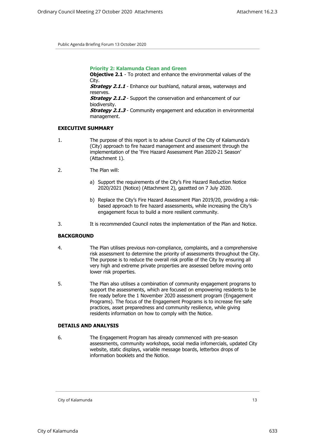**Priority 2: Kalamunda Clean and Green Objective 2.1** - To protect and enhance the environmental values of the City. **Strategy 2.1.1** - Enhance our bushland, natural areas, waterways and reserves. *Strategy 2.1.2* - Support the conservation and enhancement of our biodiversity. *Strategy 2.1.3* - Community engagement and education in environmental management.

#### **EXECUTIVE SUMMARY**

- 1. The purpose of this report is to advise Council of the City of Kalamunda's (City) approach to fire hazard management and assessment through the implementation of the 'Fire Hazard Assessment Plan 2020-21 Season' (Attachment 1).
- 2. The Plan will:
	- a) Support the requirements of the City's Fire Hazard Reduction Notice 2020/2021 (Notice) (Attachment 2), gazetted on 7 July 2020.
	- b) Replace the City's Fire Hazard Assessment Plan 2019/20, providing a riskbased approach to fire hazard assessments, while increasing the City's engagement focus to build a more resilient community.
- 3. It is recommended Council notes the implementation of the Plan and Notice.

## **BACKGROUND**

- 4. The Plan utilises previous non-compliance, complaints, and a comprehensive risk assessment to determine the priority of assessments throughout the City. The purpose is to reduce the overall risk profile of the City by ensuring all very high and extreme private properties are assessed before moving onto lower risk properties.
- 5. The Plan also utilises a combination of community engagement programs to support the assessments, which are focused on empowering residents to be fire ready before the 1 November 2020 assessment program (Engagement Programs). The focus of the Engagement Programs is to increase fire safe practices, asset preparedness and community resilience, while giving residents information on how to comply with the Notice.

#### **DETAILS AND ANALYSIS**

6. The Engagement Program has already commenced with pre-season assessments, community workshops, social media infomercials, updated City website, static displays, variable message boards, letterbox drops of information booklets and the Notice.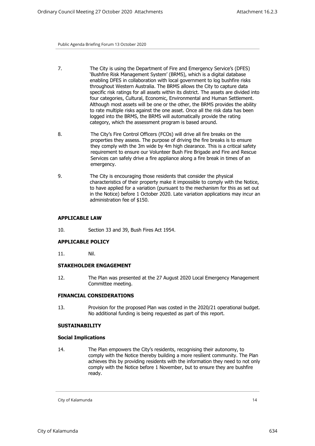- 7. The City is using the Department of Fire and Emergency Service's (DFES) 'Bushfire Risk Management System' (BRMS), which is a digital database enabling DFES in collaboration with local government to log bushfire risks throughout Western Australia. The BRMS allows the City to capture data specific risk ratings for all assets within its district. The assets are divided into four categories, Cultural, Economic, Environmental and Human Settlement. Although most assets will be one or the other, the BRMS provides the ability to rate multiple risks against the one asset. Once all the risk data has been logged into the BRMS, the BRMS will automatically provide the rating category, which the assessment program is based around.
- 8. The City's Fire Control Officers (FCOs) will drive all fire breaks on the properties they assess. The purpose of driving the fire breaks is to ensure they comply with the 3m wide by 4m high clearance. This is a critical safety requirement to ensure our Volunteer Bush Fire Brigade and Fire and Rescue Services can safely drive a fire appliance along a fire break in times of an emergency.
- 9. The City is encouraging those residents that consider the physical characteristics of their property make it impossible to comply with the Notice, to have applied for a variation (pursuant to the mechanism for this as set out in the Notice) before 1 October 2020. Late variation applications may incur an administration fee of \$150.

## **APPLICABLE LAW**

10. Section 33 and 39, Bush Fires Act 1954.

#### **APPLICABLE POLICY**

11. Nil.

## **STAKEHOLDER ENGAGEMENT**

12. The Plan was presented at the 27 August 2020 Local Emergency Management Committee meeting.

#### **FINANCIAL CONSIDERATIONS**

13. Provision for the proposed Plan was costed in the 2020/21 operational budget. No additional funding is being requested as part of this report.

#### **SUSTAINABILITY**

#### **Social Implications**

14. The Plan empowers the City's residents, recognising their autonomy, to comply with the Notice thereby building a more resilient community. The Plan achieves this by providing residents with the information they need to not only comply with the Notice before 1 November, but to ensure they are bushfire ready.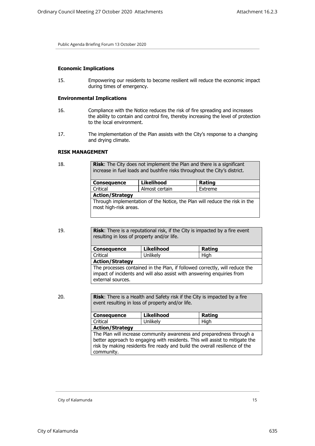#### **Economic Implications**

15. Empowering our residents to become resilient will reduce the economic impact during times of emergency.

#### **Environmental Implications**

- 16. Compliance with the Notice reduces the risk of fire spreading and increases the ability to contain and control fire, thereby increasing the level of protection to the local environment.
- 17. The implementation of the Plan assists with the City's response to a changing and drying climate.

## **RISK MANAGEMENT**

| 18. |                                                                                                     | <b>Risk:</b> The City does not implement the Plan and there is a significant<br>increase in fuel loads and bushfire risks throughout the City's district. |         |  |
|-----|-----------------------------------------------------------------------------------------------------|-----------------------------------------------------------------------------------------------------------------------------------------------------------|---------|--|
|     | <b>Consequence</b>                                                                                  | <b>Likelihood</b>                                                                                                                                         | Rating  |  |
|     | Critical                                                                                            | Almost certain                                                                                                                                            | Extreme |  |
|     | <b>Action/Strategy</b>                                                                              |                                                                                                                                                           |         |  |
|     | Through implementation of the Notice, the Plan will reduce the risk in the<br>most high-risk areas. |                                                                                                                                                           |         |  |

19. **Risk**: There is a reputational risk, if the City is impacted by a fire event resulting in loss of property and/or life.

| <b>Consequence</b>                                                          | <b>Likelihood</b> | Rating |
|-----------------------------------------------------------------------------|-------------------|--------|
| Critical                                                                    | Unlikely          | Hiah   |
| <b>Action/Strategy</b>                                                      |                   |        |
| The processes contained in the Plan, if followed correctly, will reduce the |                   |        |
| impact of incidents and will also assist with answering enquiries from      |                   |        |
| external sources.                                                           |                   |        |

20. **Risk:** There is a Health and Safety risk if the City is impacted by a fire event resulting in loss of property and/or life.

| <b>Consequence</b>                                                           | <b>Likelihood</b> | Rating |  |
|------------------------------------------------------------------------------|-------------------|--------|--|
| Unlikely<br>Critical                                                         |                   | High   |  |
| <b>Action/Strategy</b>                                                       |                   |        |  |
| The Plan will increase community awareness and preparedness through a        |                   |        |  |
| better approach to engaging with residents. This will assist to mitigate the |                   |        |  |
| risk by making residents fire ready and build the overall resilience of the  |                   |        |  |
| community.                                                                   |                   |        |  |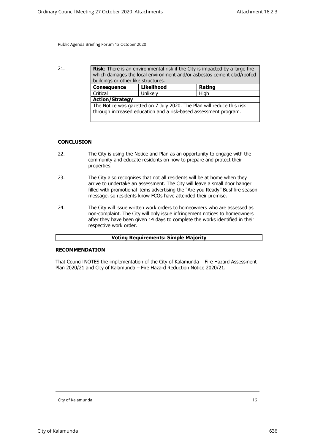21. **Risk:** There is an environmental risk if the City is impacted by a large fire which damages the local environment and/or asbestos cement clad/roofed buildings or other like structures. **Consequence** Likelihood **Rating** Critical | Unlikely | High **Action/Strategy** The Notice was gazetted on 7 July 2020. The Plan will reduce this risk through increased education and a risk-based assessment program.

## **CONCLUSION**

- 22. The City is using the Notice and Plan as an opportunity to engage with the community and educate residents on how to prepare and protect their properties.
- 23. The City also recognises that not all residents will be at home when they arrive to undertake an assessment. The City will leave a small door hanger filled with promotional items advertising the "Are you Ready" Bushfire season message, so residents know FCOs have attended their premise.
- 24. The City will issue written work orders to homeowners who are assessed as non-complaint. The City will only issue infringement notices to homeowners after they have been given 14 days to complete the works identified in their respective work order.

#### **Voting Requirements: Simple Majority**

#### **RECOMMENDATION**

That Council NOTES the implementation of the City of Kalamunda – Fire Hazard Assessment Plan 2020/21 and City of Kalamunda – Fire Hazard Reduction Notice 2020/21.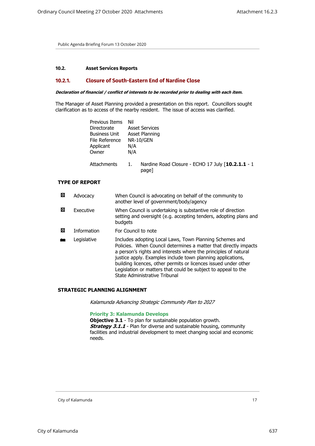# <span id="page-16-1"></span><span id="page-16-0"></span>**10.2. Asset Services Reports**

# **10.2.1. Closure of South-Eastern End of Nardine Close**

#### *Declaration of financial / conflict of interests to be recorded prior to dealing with each item.*

The Manager of Asset Planning provided a presentation on this report. Councillors sought clarification as to access of the nearby resident. The issue of access was clarified.

| Previous Items<br>Directorate<br><b>Business Unit</b><br>File Reference<br>Applicant<br>Owner | Nil<br>N/A<br>N/A | <b>Asset Services</b><br>Asset Planning<br><b>NR-10/GEN</b> |
|-----------------------------------------------------------------------------------------------|-------------------|-------------------------------------------------------------|
| Attachments                                                                                   | 1.                | Nardine Road Closure - ECHO 17 July [10.2.1.1 - 1<br>page]  |

## **TYPE OF REPORT**

| ⊠ | Advocacy           | When Council is advocating on behalf of the community to<br>another level of government/body/agency                                                                                                                                                                                                                                                                                                                                |
|---|--------------------|------------------------------------------------------------------------------------------------------------------------------------------------------------------------------------------------------------------------------------------------------------------------------------------------------------------------------------------------------------------------------------------------------------------------------------|
| 囨 | Executive          | When Council is undertaking is substantive role of direction<br>setting and oversight (e.g. accepting tenders, adopting plans and<br>budgets                                                                                                                                                                                                                                                                                       |
| ⊠ | <b>Information</b> | For Council to note                                                                                                                                                                                                                                                                                                                                                                                                                |
|   | Legislative        | Includes adopting Local Laws, Town Planning Schemes and<br>Policies. When Council determines a matter that directly impacts<br>a person's rights and interests where the principles of natural<br>justice apply. Examples include town planning applications,<br>building licences, other permits or licences issued under other<br>Legislation or matters that could be subject to appeal to the<br>State Administrative Tribunal |

#### **STRATEGIC PLANNING ALIGNMENT**

*Kalamunda Advancing Strategic Community Plan to 2027*

## **Priority 3: Kalamunda Develops**

**Objective 3.1** - To plan for sustainable population growth. **Strategy 3.1.1** - Plan for diverse and sustainable housing, community facilities and industrial development to meet changing social and economic needs.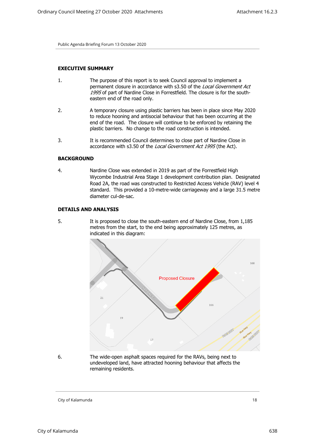## **EXECUTIVE SUMMARY**

- 1. The purpose of this report is to seek Council approval to implement a permanent closure in accordance with s3.50 of the *Local Government Act 1995* of part of Nardine Close in Forrestfield. The closure is for the southeastern end of the road only.
- 2. A temporary closure using plastic barriers has been in place since May 2020 to reduce hooning and antisocial behaviour that has been occurring at the end of the road. The closure will continue to be enforced by retaining the plastic barriers. No change to the road construction is intended.
- 3. It is recommended Council determines to close part of Nardine Close in accordance with s3.50 of the *Local Government Act 1995* (the Act).

#### **BACKGROUND**

4. Nardine Close was extended in 2019 as part of the Forrestfield High Wycombe Industrial Area Stage 1 development contribution plan. Designated Road 2A, the road was constructed to Restricted Access Vehicle (RAV) level 4 standard. This provided a 10-metre-wide carriageway and a large 31.5 metre diameter cul-de-sac.

## **DETAILS AND ANALYSIS**

5. It is proposed to close the south-eastern end of Nardine Close, from 1,185 metres from the start, to the end being approximately 125 metres, as indicated in this diagram:



6. The wide-open asphalt spaces required for the RAVs, being next to undeveloped land, have attracted hooning behaviour that affects the remaining residents.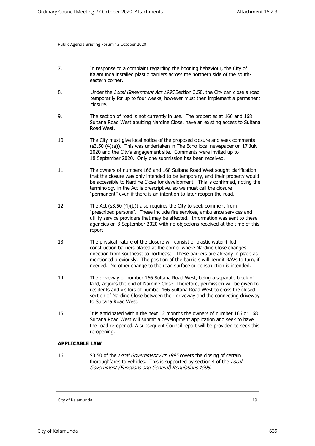- 7. In response to a complaint regarding the hooning behaviour, the City of Kalamunda installed plastic barriers across the northern side of the southeastern corner.
- 8. Under the *Local Government Act 1995* Section 3.50, the City can close a road temporarily for up to four weeks, however must then implement a permanent closure.
- 9. The section of road is not currently in use. The properties at 166 and 168 Sultana Road West abutting Nardine Close, have an existing access to Sultana Road West.
- 10. The City must give local notice of the proposed closure and seek comments (s3.50 (4)(a)). This was undertaken in The Echo local newspaper on 17 July 2020 and the City's engagement site. Comments were invited up to 18 September 2020. Only one submission has been received.
- 11. The owners of numbers 166 and 168 Sultana Road West sought clarification that the closure was only intended to be temporary, and their property would be accessible to Nardine Close for development. This is confirmed, noting the terminology in the Act is prescriptive, so we must call the closure "permanent" even if there is an intention to later reopen the road.
- 12. The Act (s3.50 (4)(b)) also requires the City to seek comment from "prescribed persons". These include fire services, ambulance services and utility service providers that may be affected. Information was sent to these agencies on 3 September 2020 with no objections received at the time of this report.
- 13. The physical nature of the closure will consist of plastic water-filled construction barriers placed at the corner where Nardine Close changes direction from southeast to northeast. These barriers are already in place as mentioned previously. The position of the barriers will permit RAVs to turn, if needed. No other change to the road surface or construction is intended.
- 14. The driveway of number 166 Sultana Road West, being a separate block of land, adjoins the end of Nardine Close. Therefore, permission will be given for residents and visitors of number 166 Sultana Road West to cross the closed section of Nardine Close between their driveway and the connecting driveway to Sultana Road West.
- 15. It is anticipated within the next 12 months the owners of number 166 or 168 Sultana Road West will submit a development application and seek to have the road re-opened. A subsequent Council report will be provided to seek this re-opening.

## **APPLICABLE LAW**

16. S3.50 of the *Local Government Act 1995* covers the closing of certain thoroughfares to vehicles. This is supported by section 4 of the *Local Government (Functions and General) Regulations 1996*.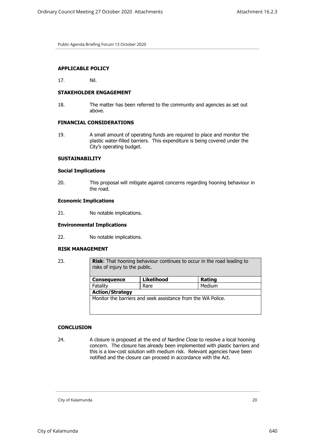## **APPLICABLE POLICY**

17. Nil.

## **STAKEHOLDER ENGAGEMENT**

18. The matter has been referred to the community and agencies as set out above.

## **FINANCIAL CONSIDERATIONS**

19. A small amount of operating funds are required to place and monitor the plastic water-filled barriers. This expenditure is being covered under the City's operating budget.

#### **SUSTAINABILITY**

#### **Social Implications**

20. This proposal will mitigate against concerns regarding hooning behaviour in the road.

#### **Economic Implications**

21. No notable implications.

#### **Environmental Implications**

22. No notable implications.

#### **RISK MANAGEMENT**

23. **Risk:** That hooning behaviour continues to occur in the road leading to risks of injury to the public.

| <b>Consequence</b>                                           | Likelihood | Rating |  |
|--------------------------------------------------------------|------------|--------|--|
| Fatality                                                     | Rare       | Medium |  |
| <b>Action/Strategy</b>                                       |            |        |  |
| Monitor the barriers and seek assistance from the WA Police. |            |        |  |
|                                                              |            |        |  |
|                                                              |            |        |  |

#### **CONCLUSION**

24. A closure is proposed at the end of Nardine Close to resolve a local hooning concern. The closure has already been implemented with plastic barriers and this is a low-cost solution with medium risk. Relevant agencies have been notified and the closure can proceed in accordance with the Act.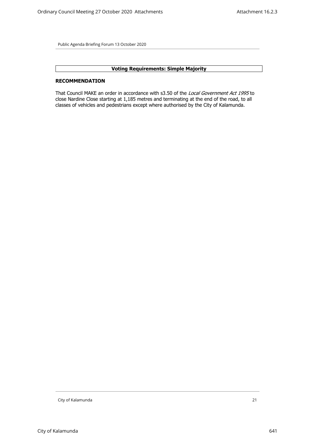# **Voting Requirements: Simple Majority**

#### **RECOMMENDATION**

That Council MAKE an order in accordance with s3.50 of the *Local Government Act 1995* to close Nardine Close starting at 1,185 metres and terminating at the end of the road, to all classes of vehicles and pedestrians except where authorised by the City of Kalamunda.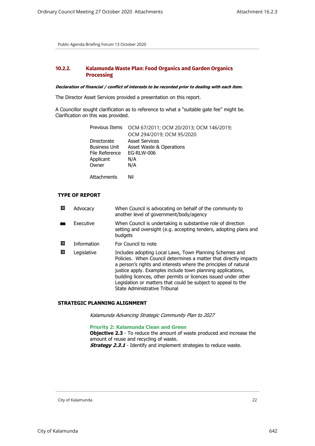# <span id="page-21-0"></span>**10.2.2. Kalamunda Waste Plan: Food Organics and Garden Organics Processing**

#### *Declaration of financial / conflict of interests to be recorded prior to dealing with each item.*

The Director Asset Services provided a presentation on this report.

A Councillor sought clarification as to reference to what a "suitable gate fee" might be. Clarification on this was provided.

| Previous Items       | OCM 67/2011; OCM 20/2013; OCM 146/2019; |
|----------------------|-----------------------------------------|
|                      | OCM 294/2019; OCM 95/2020               |
| Directorate          | <b>Asset Services</b>                   |
| <b>Business Unit</b> | Asset Waste & Operations                |
| File Reference       | <b>EG-RLW-006</b>                       |
| Applicant            | N/A                                     |
| Owner                | N/A                                     |
|                      |                                         |

Attachments Nil

# **TYPE OF REPORT**

| 図 | Advocacy           | When Council is advocating on behalf of the community to<br>another level of government/body/agency                                                                                                                                                                                                                                                                                                                                |
|---|--------------------|------------------------------------------------------------------------------------------------------------------------------------------------------------------------------------------------------------------------------------------------------------------------------------------------------------------------------------------------------------------------------------------------------------------------------------|
|   | Executive          | When Council is undertaking is substantive role of direction<br>setting and oversight (e.g. accepting tenders, adopting plans and<br>budgets                                                                                                                                                                                                                                                                                       |
| ⊠ | <b>Information</b> | For Council to note                                                                                                                                                                                                                                                                                                                                                                                                                |
| 図 | Legislative        | Includes adopting Local Laws, Town Planning Schemes and<br>Policies. When Council determines a matter that directly impacts<br>a person's rights and interests where the principles of natural<br>justice apply. Examples include town planning applications,<br>building licences, other permits or licences issued under other<br>Legislation or matters that could be subject to appeal to the<br>State Administrative Tribunal |

#### **STRATEGIC PLANNING ALIGNMENT**

*Kalamunda Advancing Strategic Community Plan to 2027*

**Priority 2: Kalamunda Clean and Green**

**Objective 2.3** - To reduce the amount of waste produced and increase the amount of reuse and recycling of waste. **Strategy 2.3.1** - Identify and implement strategies to reduce waste.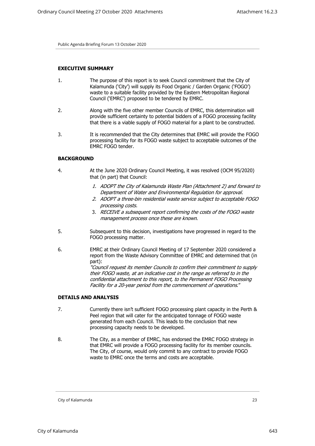#### **EXECUTIVE SUMMARY**

- 1. The purpose of this report is to seek Council commitment that the City of Kalamunda ('City') will supply its Food Organic / Garden Organic ('FOGO') waste to a suitable facility provided by the Eastern Metropolitan Regional Council ('EMRC') proposed to be tendered by EMRC.
- 2. Along with the five other member Councils of EMRC, this determination will provide sufficient certainty to potential bidders of a FOGO processing facility that there is a viable supply of FOGO material for a plant to be constructed.
- 3. It is recommended that the City determines that EMRC will provide the FOGO processing facility for its FOGO waste subject to acceptable outcomes of the EMRC FOGO tender.

#### **BACKGROUND**

- 4. At the June 2020 Ordinary Council Meeting, it was resolved (OCM 95/2020) that (in part) that Council:
	- *1. ADOPT the City of Kalamunda Waste Plan (Attachment 2) and forward to Department of Water and Environmental Regulation for approval.*
	- *2. ADOPT a three-bin residential waste service subject to acceptable FOGO processing costs.*
	- 3. *RECEIVE a subsequent report confirming the costs of the FOGO waste management process once these are known*.
- 5. Subsequent to this decision, investigations have progressed in regard to the FOGO processing matter.
- 6. EMRC at their Ordinary Council Meeting of 17 September 2020 considered a report from the Waste Advisory Committee of EMRC and determined that (in part): *"Council request its member Councils to confirm their commitment to supply their FOGO waste, at an indicative cost in the range as referred to in the confidential attachment to this report, to the Permanent FOGO Processing Facility for a 20-year period from the commencement of operations*."

#### **DETAILS AND ANALYSIS**

- 7. Currently there isn't sufficient FOGO processing plant capacity in the Perth & Peel region that will cater for the anticipated tonnage of FOGO waste generated from each Council. This leads to the conclusion that new processing capacity needs to be developed.
- 8. The City, as a member of EMRC, has endorsed the EMRC FOGO strategy in that EMRC will provide a FOGO processing facility for its member councils. The City, of course, would only commit to any contract to provide FOGO waste to EMRC once the terms and costs are acceptable.

City of Kalamunda 23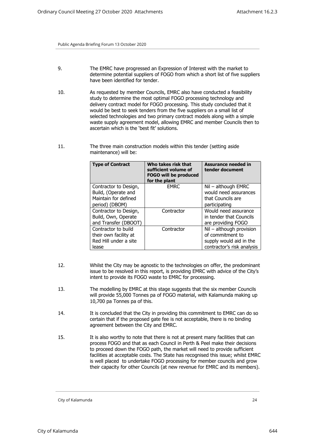- 9. The EMRC have progressed an Expression of Interest with the market to determine potential suppliers of FOGO from which a short list of five suppliers have been identified for tender.
- 10. As requested by member Councils, EMRC also have conducted a feasibility study to determine the most optimal FOGO processing technology and delivery contract model for FOGO processing. This study concluded that it would be best to seek tenders from the five suppliers on a small list of selected technologies and two primary contract models along with a simple waste supply agreement model, allowing EMRC and member Councils then to ascertain which is the 'best fit' solutions.
- 11. The three main construction models within this tender (setting aside maintenance) will be:

| <b>Type of Contract</b> | Who takes risk that<br>sufficient volume of<br><b>FOGO will be produced</b><br>for the plant | <b>Assurance needed in</b><br>tender document |
|-------------------------|----------------------------------------------------------------------------------------------|-----------------------------------------------|
| Contractor to Design,   | <b>EMRC</b>                                                                                  | Nil - although EMRC                           |
| Build, (Operate and     |                                                                                              | would need assurances                         |
| Maintain for defined    |                                                                                              | that Councils are                             |
| period) (DBOM)          |                                                                                              | participating                                 |
| Contractor to Design,   | Contractor                                                                                   | Would need assurance                          |
| Build, Own, Operate     |                                                                                              | in tender that Councils                       |
| and Transfer (DBOOT)    |                                                                                              | are providing FOGO                            |
| Contractor to build     | Contractor                                                                                   | Nil - although provision                      |
| their own facility at   |                                                                                              | of commitment to                              |
| Red Hill under a site   |                                                                                              | supply would aid in the                       |
| lease                   |                                                                                              | contractor's risk analysis                    |

- 12. Whilst the City may be agnostic to the technologies on offer, the predominant issue to be resolved in this report, is providing EMRC with advice of the City's intent to provide its FOGO waste to EMRC for processing.
- 13. The modelling by EMRC at this stage suggests that the six member Councils will provide 55,000 Tonnes pa of FOGO material, with Kalamunda making up 10,700 pa Tonnes pa of this.
- 14. It is concluded that the City in providing this commitment to EMRC can do so certain that if the proposed gate fee is not acceptable, there is no binding agreement between the City and EMRC.
- 15. It is also worthy to note that there is not at present many facilities that can process FOGO and that as each Council in Perth & Peel make their decisions to proceed down the FOGO path, the market will need to provide sufficient facilities at acceptable costs. The State has recognised this issue; whilst EMRC is well placed to undertake FOGO processing for member councils and grow their capacity for other Councils (at new revenue for EMRC and its members).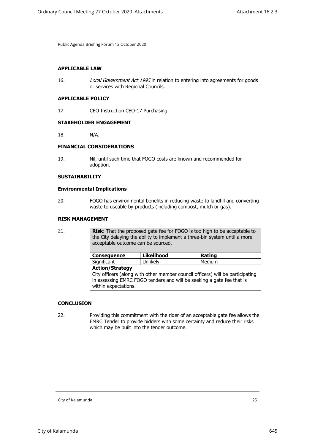## **APPLICABLE LAW**

16. *Local Government Act 1995* in relation to entering into agreements for goods or services with Regional Councils.

## **APPLICABLE POLICY**

17. CEO Instruction CEO-17 Purchasing.

# **STAKEHOLDER ENGAGEMENT**

18. N/A.

# **FINANCIAL CONSIDERATIONS**

19. Nil, until such time that FOGO costs are known and recommended for adoption.

## **SUSTAINABILITY**

## **Environmental Implications**

20. FOGO has environmental benefits in reducing waste to landfill and converting waste to useable by-products (including compost, mulch or gas).

## **RISK MANAGEMENT**

| 21. | <b>Risk:</b> That the proposed gate fee for FOGO is too high to be acceptable to<br>the City delaying the ability to implement a three-bin system until a more<br>acceptable outcome can be sourced. |            |        |  |
|-----|------------------------------------------------------------------------------------------------------------------------------------------------------------------------------------------------------|------------|--------|--|
|     | <b>Consequence</b>                                                                                                                                                                                   | Likelihood | Rating |  |
|     | Significant                                                                                                                                                                                          | Unlikely   | Medium |  |
|     | <b>Action/Strategy</b>                                                                                                                                                                               |            |        |  |
|     | City officers (along with other member council officers) will be participating<br>in assessing EMRC FOGO tenders and will be seeking a gate fee that is<br>within expectations.                      |            |        |  |
|     |                                                                                                                                                                                                      |            |        |  |

#### **CONCLUSION**

22. Providing this commitment with the rider of an acceptable gate fee allows the EMRC Tender to provide bidders with some certainty and reduce their risks which may be built into the tender outcome.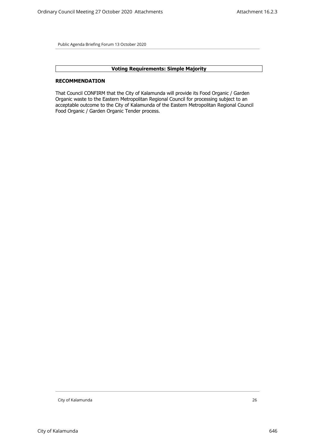# **Voting Requirements: Simple Majority**

#### **RECOMMENDATION**

That Council CONFIRM that the City of Kalamunda will provide its Food Organic / Garden Organic waste to the Eastern Metropolitan Regional Council for processing subject to an acceptable outcome to the City of Kalamunda of the Eastern Metropolitan Regional Council Food Organic / Garden Organic Tender process.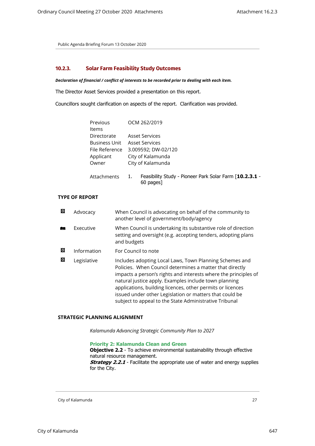## <span id="page-26-0"></span>**10.2.3. Solar Farm Feasibility Study Outcomes**

*Declaration of financial / conflict of interests to be recorded prior to dealing with each item.*

The Director Asset Services provided a presentation on this report.

Councillors sought clarification on aspects of the report. Clarification was provided.

| Previous             | OCM 262/2019        |                                                                      |
|----------------------|---------------------|----------------------------------------------------------------------|
| Items                |                     |                                                                      |
| Directorate          |                     | <b>Asset Services</b>                                                |
| <b>Business Unit</b> | Asset Services      |                                                                      |
| File Reference       | 3.009592; DW-02/120 |                                                                      |
| Applicant            | City of Kalamunda   |                                                                      |
| Owner                | City of Kalamunda   |                                                                      |
| Attachments          | 1.                  | Feasibility Study - Pioneer Park Solar Farm [10.2.3.1 -<br>60 pages] |

# **TYPE OF REPORT**

| 図 | Advocacy    | When Council is advocating on behalf of the community to<br>another level of government/body/agency                                                                                                                                                                                                                                                                                                                                |
|---|-------------|------------------------------------------------------------------------------------------------------------------------------------------------------------------------------------------------------------------------------------------------------------------------------------------------------------------------------------------------------------------------------------------------------------------------------------|
|   | Executive   | When Council is undertaking its substantive role of direction<br>setting and oversight (e.g. accepting tenders, adopting plans<br>and budgets                                                                                                                                                                                                                                                                                      |
| ⊠ | Information | For Council to note                                                                                                                                                                                                                                                                                                                                                                                                                |
| ⊠ | Legislative | Includes adopting Local Laws, Town Planning Schemes and<br>Policies. When Council determines a matter that directly<br>impacts a person's rights and interests where the principles of<br>natural justice apply. Examples include town planning<br>applications, building licences, other permits or licences<br>issued under other Legislation or matters that could be<br>subject to appeal to the State Administrative Tribunal |

# **STRATEGIC PLANNING ALIGNMENT**

*Kalamunda Advancing Strategic Community Plan to 2027*

**Priority 2: Kalamunda Clean and Green Objective 2.2** - To achieve environmental sustainability through effective natural resource management. *Strategy 2.2.1* - Facilitate the appropriate use of water and energy supplies for the City.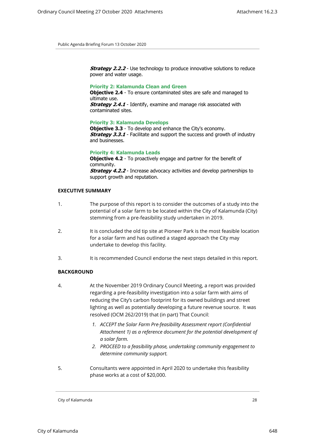**Strategy 2.2.2** - Use technology to produce innovative solutions to reduce power and water usage.

## **Priority 2: Kalamunda Clean and Green**

**Objective 2.4** - To ensure contaminated sites are safe and managed to ultimate use.

**Strategy 2.4.1** - Identify, examine and manage risk associated with contaminated sites.

#### **Priority 3: Kalamunda Develops**

**Objective 3.3** - To develop and enhance the City's economy. **Strategy 3.3.1** - Facilitate and support the success and growth of industry and businesses.

#### **Priority 4: Kalamunda Leads**

**Objective 4.2** - To proactively engage and partner for the benefit of community. **Strategy 4.2.2** - Increase advocacy activities and develop partnerships to support growth and reputation.

#### **EXECUTIVE SUMMARY**

- 1. The purpose of this report is to consider the outcomes of a study into the potential of a solar farm to be located within the City of Kalamunda (City) stemming from a pre-feasibility study undertaken in 2019.
- 2. It is concluded the old tip site at Pioneer Park is the most feasible location for a solar farm and has outlined a staged approach the City may undertake to develop this facility.
- 3. It is recommended Council endorse the next steps detailed in this report.

## **BACKGROUND**

- 4. At the November 2019 Ordinary Council Meeting, a report was provided regarding a pre-feasibility investigation into a solar farm with aims of reducing the City's carbon footprint for its owned buildings and street lighting as well as potentially developing a future revenue source. It was resolved (OCM 262/2019) that (in part) That Council:
	- *1. ACCEPT the Solar Farm Pre-feasibility Assessment report (Confidential Attachment 1) as a reference document for the potential development of a solar farm.*
	- *2. PROCEED to a feasibility phase, undertaking community engagement to determine community support.*
- 5. Consultants were appointed in April 2020 to undertake this feasibility phase works at a cost of \$20,000.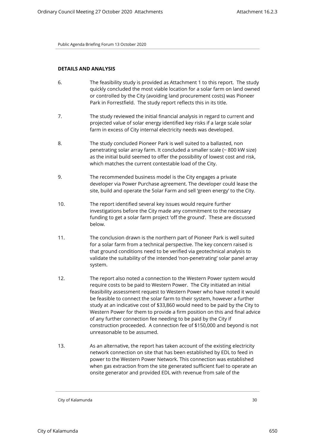## **DETAILS AND ANALYSIS**

- 6. The feasibility study is provided as Attachment 1 to this report. The study quickly concluded the most viable location for a solar farm on land owned or controlled by the City (avoiding land procurement costs) was Pioneer Park in Forrestfield. The study report reflects this in its title.
- 7. The study reviewed the initial financial analysis in regard to current and projected value of solar energy identified key risks if a large scale solar farm in excess of City internal electricity needs was developed.
- 8. The study concluded Pioneer Park is well suited to a ballasted, non penetrating solar array farm. It concluded a smaller scale (~ 800 kW size) as the initial build seemed to offer the possibility of lowest cost and risk, which matches the current contestable load of the City.
- 9. The recommended business model is the City engages a private developer via Power Purchase agreement. The developer could lease the site, build and operate the Solar Farm and sell 'green energy' to the City.
- 10. The report identified several key issues would require further investigations before the City made any commitment to the necessary funding to get a solar farm project 'off the ground'. These are discussed below.
- 11. The conclusion drawn is the northern part of Pioneer Park is well suited for a solar farm from a technical perspective. The key concern raised is that ground conditions need to be verified via geotechnical analysis to validate the suitability of the intended 'non-penetrating' solar panel array system.
- 12. The report also noted a connection to the Western Power system would require costs to be paid to Western Power. The City initiated an initial feasibility assessment request to Western Power who have noted it would be feasible to connect the solar farm to their system, however a further study at an indicative cost of \$33,860 would need to be paid by the City to Western Power for them to provide a firm position on this and final advice of any further connection fee needing to be paid by the City if construction proceeded. A connection fee of \$150,000 and beyond is not unreasonable to be assumed.
- 13. As an alternative, the report has taken account of the existing electricity network connection on site that has been established by EDL to feed in power to the Western Power Network. This connection was established when gas extraction from the site generated sufficient fuel to operate an onsite generator and provided EDL with revenue from sale of the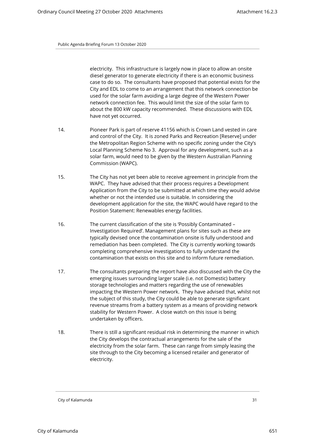electricity. This infrastructure is largely now in place to allow an onsite diesel generator to generate electricity if there is an economic business case to do so. The consultants have proposed that potential exists for the City and EDL to come to an arrangement that this network connection be used for the solar farm avoiding a large degree of the Western Power network connection fee. This would limit the size of the solar farm to about the 800 kW capacity recommended. These discussions with EDL have not yet occurred.

- 14. Pioneer Park is part of reserve 41156 which is Crown Land vested in care and control of the City. It is zoned Parks and Recreation [Reserve] under the Metropolitan Region Scheme with no specific zoning under the City's Local Planning Scheme No 3. Approval for any development, such as a solar farm, would need to be given by the Western Australian Planning Commission (WAPC).
- 15. The City has not yet been able to receive agreement in principle from the WAPC. They have advised that their process requires a Development Application from the City to be submitted at which time they would advise whether or not the intended use is suitable. In considering the development application for the site, the WAPC would have regard to the Position Statement: Renewables energy facilities.
- 16. The current classification of the site is 'Possibly Contaminated Investigation Required'. Management plans for sites such as these are typically devised once the contamination onsite is fully understood and remediation has been completed. The City is currently working towards completing comprehensive investigations to fully understand the contamination that exists on this site and to inform future remediation.
- 17. The consultants preparing the report have also discussed with the City the emerging issues surrounding larger scale (i.e. not Domestic) battery storage technologies and matters regarding the use of renewables impacting the Western Power network. They have advised that, whilst not the subject of this study, the City could be able to generate significant revenue streams from a battery system as a means of providing network stability for Western Power. A close watch on this issue is being undertaken by officers.
- 18. There is still a significant residual risk in determining the manner in which the City develops the contractual arrangements for the sale of the electricity from the solar farm. These can range from simply leasing the site through to the City becoming a licensed retailer and generator of electricity.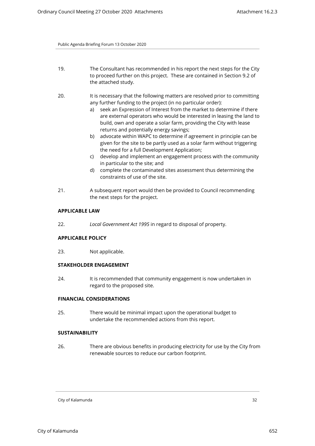- 19. The Consultant has recommended in his report the next steps for the City to proceed further on this project. These are contained in Section 9.2 of the attached study.
- 20. It is necessary that the following matters are resolved prior to committing any further funding to the project (in no particular order):
	- a) seek an Expression of Interest from the market to determine if there are external operators who would be interested in leasing the land to build, own and operate a solar farm, providing the City with lease returns and potentially energy savings;
	- b) advocate within WAPC to determine if agreement in principle can be given for the site to be partly used as a solar farm without triggering the need for a full Development Application;
	- c) develop and implement an engagement process with the community in particular to the site; and
	- d) complete the contaminated sites assessment thus determining the constraints of use of the site.
- 21. A subsequent report would then be provided to Council recommending the next steps for the project.

#### **APPLICABLE LAW**

22. *Local Government Act 1995* in regard to disposal of property.

## **APPLICABLE POLICY**

23. Not applicable.

# **STAKEHOLDER ENGAGEMENT**

24. It is recommended that community engagement is now undertaken in regard to the proposed site.

# **FINANCIAL CONSIDERATIONS**

25. There would be minimal impact upon the operational budget to undertake the recommended actions from this report.

# **SUSTAINABILITY**

26. There are obvious benefits in producing electricity for use by the City from renewable sources to reduce our carbon footprint.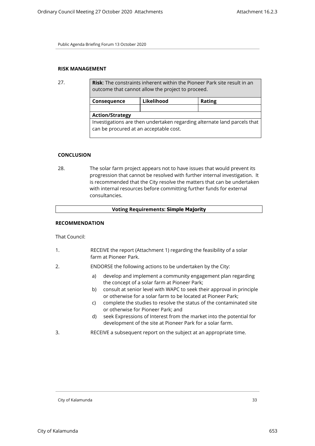# **RISK MANAGEMENT**

| 27. | <b>Risk:</b> The constraints inherent within the Pioneer Park site result in an<br>outcome that cannot allow the project to proceed. |            |               |
|-----|--------------------------------------------------------------------------------------------------------------------------------------|------------|---------------|
|     | Consequence                                                                                                                          | Likelihood | <b>Rating</b> |
|     |                                                                                                                                      |            |               |
|     | <b>Action/Strategy</b>                                                                                                               |            |               |
|     | Investigations are then undertaken regarding alternate land parcels that<br>can be procured at an acceptable cost.                   |            |               |

## **CONCLUSION**

28. The solar farm project appears not to have issues that would prevent its progression that cannot be resolved with further internal investigation. It is recommended that the City resolve the matters that can be undertaken with internal resources before committing further funds for external consultancies.

## **Voting Requirements: Simple Majority**

## **RECOMMENDATION**

That Council:

- 1. RECEIVE the report (Attachment 1) regarding the feasibility of a solar farm at Pioneer Park.
- 2. ENDORSE the following actions to be undertaken by the City:
	- a) develop and implement a community engagement plan regarding the concept of a solar farm at Pioneer Park;
	- b) consult at senior level with WAPC to seek their approval in principle or otherwise for a solar farm to be located at Pioneer Park;
	- c) complete the studies to resolve the status of the contaminated site or otherwise for Pioneer Park; and
	- d) seek Expressions of Interest from the market into the potential for development of the site at Pioneer Park for a solar farm.
- 3. RECEIVE a subsequent report on the subject at an appropriate time.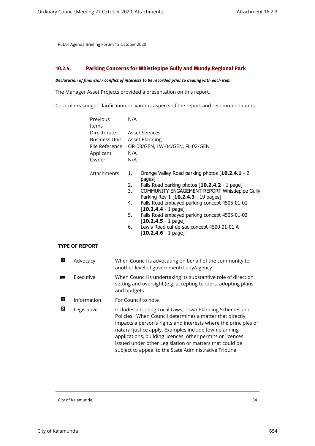## <span id="page-33-0"></span>**10.2.4. Parking Concerns for Whistlepipe Gully and Mundy Regional Park**

#### *Declaration of financial / conflict of interests to be recorded prior to dealing with each item.*

The Manager Asset Projects provided a presentation on this report.

Councillors sought clarification on various aspects of the report and recommendations.

| Previous       | N/A                                                   |  |
|----------------|-------------------------------------------------------|--|
| ltems          |                                                       |  |
| Directorate    | Asset Services                                        |  |
| Business Unit  | Asset Planning                                        |  |
| File Reference | OR-03/GEN, LW-04/GEN, FL-02/GEN                       |  |
| Applicant      | N/A                                                   |  |
| Owner          | N/A                                                   |  |
|                |                                                       |  |
| Attachments    | Orange Valley Road parking photos [10.2.4.1 - 2<br>1. |  |

| ١ts | Orange valley Road parking photos [10.2.4.1 - 2 |
|-----|-------------------------------------------------|
|     | pages]                                          |
|     |                                                 |

- 2. Falls Road parking photos [**10.2.4.2** 1 page]
- 3. COMMUNITY ENGAGEMENT REPORT Whistlepipe Gully Parking Rev 1 [**10.2.4.3** - 19 pages]
- 4. Falls Road embayed parking concept 4505-01-01 [**10.2.4.4** - 1 page]
- 5. Falls Road embayed parking concept 4505-01-02 [**10.2.4.5** - 1 page]
- 6. Lewis Road cul-de-sac concept 4500 01-01 A [**10.2.4.6** - 1 page]

# **TYPE OF REPORT**

| 図 | Advocacy    | When Council is advocating on behalf of the community to<br>another level of government/body/agency                                                                                                                                                                                                                                                                                                                                |
|---|-------------|------------------------------------------------------------------------------------------------------------------------------------------------------------------------------------------------------------------------------------------------------------------------------------------------------------------------------------------------------------------------------------------------------------------------------------|
| 鱼 | Executive   | When Council is undertaking its substantive role of direction<br>setting and oversight (e.g. accepting tenders, adopting plans<br>and budgets                                                                                                                                                                                                                                                                                      |
| 囨 | Information | For Council to note                                                                                                                                                                                                                                                                                                                                                                                                                |
| 図 | Legislative | Includes adopting Local Laws, Town Planning Schemes and<br>Policies. When Council determines a matter that directly<br>impacts a person's rights and interests where the principles of<br>natural justice apply. Examples include town planning<br>applications, building licences, other permits or licences<br>issued under other Legislation or matters that could be<br>subject to appeal to the State Administrative Tribunal |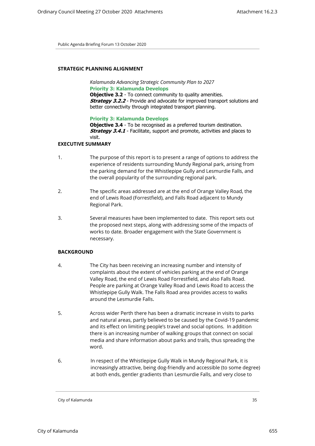## **STRATEGIC PLANNING ALIGNMENT**

*Kalamunda Advancing Strategic Community Plan to 2027* **Priority 3: Kalamunda Develops Objective 3.2** - To connect community to quality amenities. **Strategy 3.2.2** - Provide and advocate for improved transport solutions and better connectivity through integrated transport planning.

**Priority 3: Kalamunda Develops**

**Objective 3.4** - To be recognised as a preferred tourism destination. **Strategy 3.4.1** - Facilitate, support and promote, activities and places to visit.

## **EXECUTIVE SUMMARY**

- 1. The purpose of this report is to present a range of options to address the experience of residents surrounding Mundy Regional park, arising from the parking demand for the Whistlepipe Gully and Lesmurdie Falls, and the overall popularity of the surrounding regional park.
- 2. The specific areas addressed are at the end of Orange Valley Road, the end of Lewis Road (Forrestfield), and Falls Road adjacent to Mundy Regional Park.
- 3. Several measures have been implemented to date. This report sets out the proposed next steps, along with addressing some of the impacts of works to date. Broader engagement with the State Government is necessary.

# **BACKGROUND**

- 4. The City has been receiving an increasing number and intensity of complaints about the extent of vehicles parking at the end of Orange Valley Road, the end of Lewis Road Forrestfield, and also Falls Road. People are parking at Orange Valley Road and Lewis Road to access the Whistlepipe Gully Walk. The Falls Road area provides access to walks around the Lesmurdie Falls.
- 5. Across wider Perth there has been a dramatic increase in visits to parks and natural areas, partly believed to be caused by the Covid-19 pandemic and its effect on limiting people's travel and social options. In addition there is an increasing number of walking groups that connect on social media and share information about parks and trails, thus spreading the word.
- 6. In respect of the Whistlepipe Gully Walk in Mundy Regional Park, it is increasingly attractive, being dog-friendly and accessible (to some degree) at both ends, gentler gradients than Lesmurdie Falls, and very close to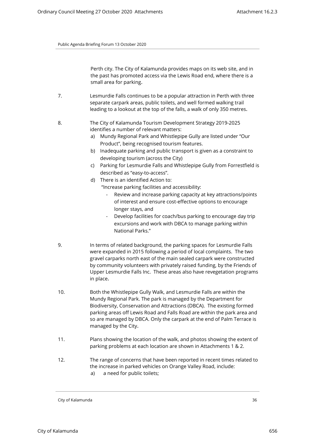Perth city. The City of Kalamunda provides maps on its web site, and in the past has promoted access via the Lewis Road end, where there is a small area for parking.

- 7. Lesmurdie Falls continues to be a popular attraction in Perth with three separate carpark areas, public toilets, and well formed walking trail leading to a lookout at the top of the falls, a walk of only 350 metres.
- 8. The City of Kalamunda Tourism Development Strategy 2019-2025 identifies a number of relevant matters:
	- a) Mundy Regional Park and Whistlepipe Gully are listed under "Our Product", being recognised tourism features.
	- b) Inadequate parking and public transport is given as a constraint to developing tourism (across the City)
	- c) Parking for Lesmurdie Falls and Whistlepipe Gully from Forrestfield is described as "easy-to-access".
	- d) There is an identified Action to: "Increase parking facilities and accessibility:
		- Review and increase parking capacity at key attractions/points of interest and ensure cost-effective options to encourage longer stays, and
		- Develop facilities for coach/bus parking to encourage day trip excursions and work with DBCA to manage parking within National Parks."
- 9. In terms of related background, the parking spaces for Lesmurdie Falls were expanded in 2015 following a period of local complaints. The two gravel carparks north east of the main sealed carpark were constructed by community volunteers with privately raised funding, by the Friends of Upper Lesmurdie Falls Inc. These areas also have revegetation programs in place.
- 10. Both the Whistlepipe Gully Walk, and Lesmurdie Falls are within the Mundy Regional Park. The park is managed by the Department for Biodiversity, Conservation and Attractions (DBCA). The existing formed parking areas off Lewis Road and Falls Road are within the park area and so are managed by DBCA. Only the carpark at the end of Palm Terrace is managed by the City.
- 11. Plans showing the location of the walk, and photos showing the extent of parking problems at each location are shown in Attachments 1 & 2.
- 12. The range of concerns that have been reported in recent times related to the increase in parked vehicles on Orange Valley Road, include: a) a need for public toilets;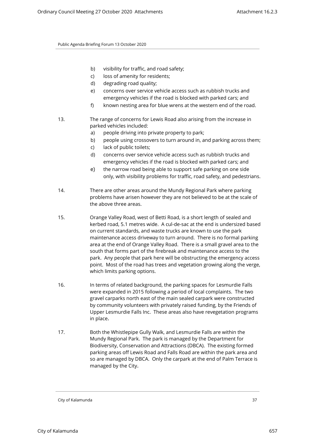- b) visibility for traffic, and road safety;
- c) loss of amenity for residents;
- d) degrading road quality;
- e) concerns over service vehicle access such as rubbish trucks and emergency vehicles if the road is blocked with parked cars; and
- f) known nesting area for blue wrens at the western end of the road.
- 13. The range of concerns for Lewis Road also arising from the increase in parked vehicles included:
	- a) people driving into private property to park;
	- b) people using crossovers to turn around in, and parking across them;
	- c) lack of public toilets;
	- d) concerns over service vehicle access such as rubbish trucks and emergency vehicles if the road is blocked with parked cars; and
	- e) the narrow road being able to support safe parking on one side only, with visibility problems for traffic, road safety, and pedestrians.
- 14. There are other areas around the Mundy Regional Park where parking problems have arisen however they are not believed to be at the scale of the above three areas.
- 15. Orange Valley Road, west of Betti Road, is a short length of sealed and kerbed road, 5.1 metres wide. A cul-de-sac at the end is undersized based on current standards, and waste trucks are known to use the park maintenance access driveway to turn around. There is no formal parking area at the end of Orange Valley Road. There is a small gravel area to the south that forms part of the firebreak and maintenance access to the park. Any people that park here will be obstructing the emergency access point. Most of the road has trees and vegetation growing along the verge, which limits parking options.
- 16. In terms of related background, the parking spaces for Lesmurdie Falls were expanded in 2015 following a period of local complaints. The two gravel carparks north east of the main sealed carpark were constructed by community volunteers with privately raised funding, by the Friends of Upper Lesmurdie Falls Inc. These areas also have revegetation programs in place.
- 17. Both the Whistlepipe Gully Walk, and Lesmurdie Falls are within the Mundy Regional Park. The park is managed by the Department for Biodiversity, Conservation and Attractions (DBCA). The existing formed parking areas off Lewis Road and Falls Road are within the park area and so are managed by DBCA. Only the carpark at the end of Palm Terrace is managed by the City.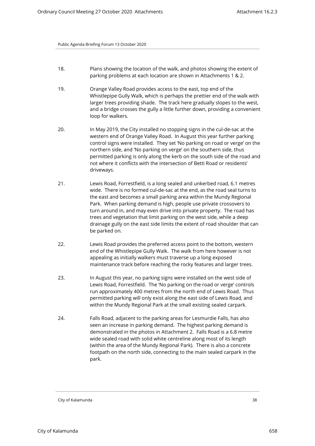- 18. Plans showing the location of the walk, and photos showing the extent of parking problems at each location are shown in Attachments 1 & 2.
- 19. Orange Valley Road provides access to the east, top end of the Whistlepipe Gully Walk, which is perhaps the prettier end of the walk with larger trees providing shade. The track here gradually slopes to the west, and a bridge crosses the gully a little further down, providing a convenient loop for walkers.
- 20. In May 2019, the City installed no stopping signs in the cul-de-sac at the western end of Orange Valley Road. In August this year further parking control signs were installed. They set 'No parking on road or verge' on the northern side, and 'No parking on verge' on the southern side, thus permitted parking is only along the kerb on the south side of the road and not where it conflicts with the intersection of Betti Road or residents' driveways.
- 21. Lewis Road, Forrestfield, is a long sealed and unkerbed road, 6.1 metres wide. There is no formed cul-de-sac at the end, as the road seal turns to the east and becomes a small parking area within the Mundy Regional Park. When parking demand is high, people use private crossovers to turn around in, and may even drive into private property. The road has trees and vegetation that limit parking on the west side, while a deep drainage gully on the east side limits the extent of road shoulder that can be parked on.
- 22. Lewis Road provides the preferred access point to the bottom, western end of the Whistlepipe Gully Walk. The walk from here however is not appealing as initially walkers must traverse up a long exposed maintenance track before reaching the rocky features and larger trees.
- 23. In August this year, no parking signs were installed on the west side of Lewis Road, Forrestfield. The 'No parking on the road or verge' controls run approximately 400 metres from the north end of Lewis Road. Thus permitted parking will only exist along the east side of Lewis Road, and within the Mundy Regional Park at the small existing sealed carpark.
- 24. Falls Road, adjacent to the parking areas for Lesmurdie Falls, has also seen an increase in parking demand. The highest parking demand is demonstrated in the photos in Attachment 2. Falls Road is a 6.8 metre wide sealed road with solid white centreline along most of its length (within the area of the Mundy Regional Park). There is also a concrete footpath on the north side, connecting to the main sealed carpark in the park.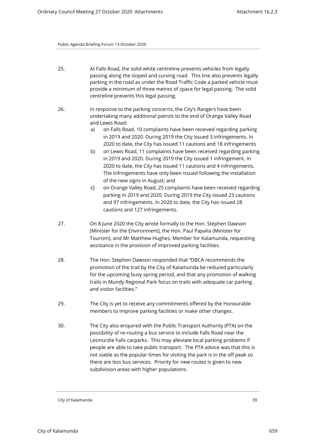- 25. At Falls Road, the solid white centreline prevents vehicles from legally passing along the sloped and curving road. This line also prevents legally parking in the road as under the Road Traffic Code a parked vehicle must provide a minimum of three metres of space for legal passing. The solid centreline prevents this legal passing.
- 26. In response to the parking concerns, the City's Rangers have been undertaking many additional patrols to the end of Orange Valley Road and Lewis Road:
	- a) on Falls Road, 10 complaints have been received regarding parking in 2019 and 2020. During 2019 the City issued 3 infringements. In 2020 to date, the City has issued 11 cautions and 18 infringements
	- b) on Lewis Road, 11 complaints have been received regarding parking in 2019 and 2020. During 2019 the City issued 1 infringement. In 2020 to date, the City has issued 11 cautions and 4 infringements. The infringements have only been issued following the installation of the new signs in August; and
	- c) on Orange Valley Road, 25 complaints have been received regarding parking in 2019 and 2020. During 2019 the City issued 23 cautions and 97 infringements. In 2020 to date, the City has issued 28 cautions and 127 infringements.
- 27. On 8 June 2020 the City wrote formally to the Hon. Stephen Dawson (Minister for the Environment), the Hon. Paul Papalia (Minister for Tourism), and Mr Matthew Hughes, Member for Kalamunda, requesting assistance in the provision of improved parking facilities.
- 28. The Hon. Stephen Dawson responded that "DBCA recommends the promotion of the trail by the City of Kalamunda be reduced particularly for the upcoming busy spring period, and that any promotion of walking trails in Mundy Regional Park focus on trails with adequate car parking and visitor facilities."
- 29. The City is yet to receive any commitments offered by the Honourable members to improve parking facilities or make other changes.
- 30. The City also enquired with the Public Transport Authority (PTA) on the possibility of re-routing a bus service to include Falls Road near the Lesmurdie Falls carparks. This may alleviate local parking problems if people are able to take public transport. The PTA advice was that this is not viable as the popular times for visiting the park is in the off peak so there are less bus services. Priority for new routes is given to new subdivision areas with higher populations.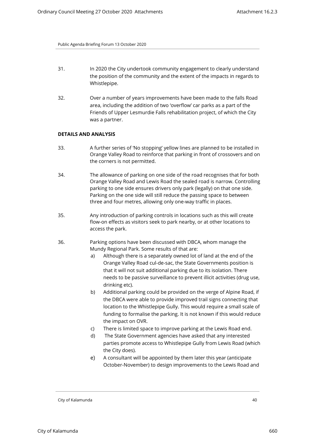- 31. In 2020 the City undertook community engagement to clearly understand the position of the community and the extent of the impacts in regards to Whistlepipe.
- 32. Over a number of years improvements have been made to the falls Road area, including the addition of two 'overflow' car parks as a part of the Friends of Upper Lesmurdie Falls rehabilitation project, of which the City was a partner.

## **DETAILS AND ANALYSIS**

- 33. A further series of 'No stopping' yellow lines are planned to be installed in Orange Valley Road to reinforce that parking in front of crossovers and on the corners is not permitted.
- 34. The allowance of parking on one side of the road recognises that for both Orange Valley Road and Lewis Road the sealed road is narrow. Controlling parking to one side ensures drivers only park (legally) on that one side. Parking on the one side will still reduce the passing space to between three and four metres, allowing only one-way traffic in places.
- 35. Any introduction of parking controls in locations such as this will create flow-on effects as visitors seek to park nearby, or at other locations to access the park.
- 36. Parking options have been discussed with DBCA, whom manage the Mundy Regional Park. Some results of that are:
	- a) Although there is a separately owned lot of land at the end of the Orange Valley Road cul-de-sac, the State Governments position is that it will not suit additional parking due to its isolation. There needs to be passive surveillance to prevent illicit activities (drug use, drinking etc).
	- b) Additional parking could be provided on the verge of Alpine Road, if the DBCA were able to provide improved trail signs connecting that location to the Whistlepipe Gully. This would require a small scale of funding to formalise the parking. It is not known if this would reduce the impact on OVR.
	- c) There is limited space to improve parking at the Lewis Road end.
	- d) The State Government agencies have asked that any interested parties promote access to Whistlepipe Gully from Lewis Road (which the City does).
	- e) A consultant will be appointed by them later this year (anticipate October-November) to design improvements to the Lewis Road and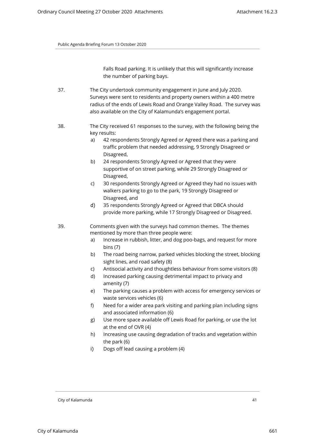Falls Road parking. It is unlikely that this will significantly increase the number of parking bays.

- 37. The City undertook community engagement in June and July 2020. Surveys were sent to residents and property owners within a 400 metre radius of the ends of Lewis Road and Orange Valley Road. The survey was also available on the City of Kalamunda's engagement portal.
- 38. The City received 61 responses to the survey, with the following being the key results:
	- a) 42 respondents Strongly Agreed or Agreed there was a parking and traffic problem that needed addressing, 9 Strongly Disagreed or Disagreed,
	- b) 24 respondents Strongly Agreed or Agreed that they were supportive of on street parking, while 29 Strongly Disagreed or Disagreed,
	- c) 30 respondents Strongly Agreed or Agreed they had no issues with walkers parking to go to the park, 19 Strongly Disagreed or Disagreed, and
	- d) 35 respondents Strongly Agreed or Agreed that DBCA should provide more parking, while 17 Strongly Disagreed or Disagreed.

39. Comments given with the surveys had common themes. The themes mentioned by more than three people were:

- a) Increase in rubbish, litter, and dog poo-bags, and request for more bins (7)
- b) The road being narrow, parked vehicles blocking the street, blocking sight lines, and road safety (8)
- c) Antisocial activity and thoughtless behaviour from some visitors (8)
- d) Increased parking causing detrimental impact to privacy and amenity (7)
- e) The parking causes a problem with access for emergency services or waste services vehicles (6)
- f) Need for a wider area park visiting and parking plan including signs and associated information (6)
- g) Use more space available off Lewis Road for parking, or use the lot at the end of OVR (4)
- h) Increasing use causing degradation of tracks and vegetation within the park (6)
- i) Dogs off lead causing a problem (4)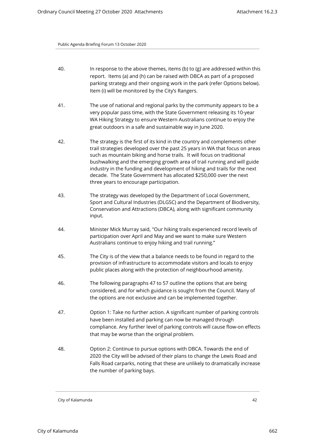- 40. In response to the above themes, items (b) to (g) are addressed within this report. Items (a) and (h) can be raised with DBCA as part of a proposed parking strategy and their ongoing work in the park (refer Options below). Item (i) will be monitored by the City's Rangers.
- 41. The use of national and regional parks by the community appears to be a very popular pass time, with the State Government releasing its 10-year WA Hiking Strategy to ensure Western Australians continue to enjoy the great outdoors in a safe and sustainable way in June 2020.
- 42. The strategy is the first of its kind in the country and complements other trail strategies developed over the past 25 years in WA that focus on areas such as mountain biking and horse trails. It will focus on traditional bushwalking and the emerging growth area of trail running and will guide industry in the funding and development of hiking and trails for the next decade. The State Government has allocated \$250,000 over the next three years to encourage participation.
- 43. The strategy was developed by the Department of Local Government, Sport and Cultural Industries (DLGSC) and the Department of Biodiversity, Conservation and Attractions (DBCA), along with significant community input.
- 44. Minister Mick Murray said, "Our hiking trails experienced record levels of participation over April and May and we want to make sure Western Australians continue to enjoy hiking and trail running."
- 45. The City is of the view that a balance needs to be found in regard to the provision of infrastructure to accommodate visitors and locals to enjoy public places along with the protection of neighbourhood amenity.
- 46. The following paragraphs 47 to 57 outline the options that are being considered, and for which guidance is sought from the Council. Many of the options are not exclusive and can be implemented together.
- 47. Option 1: Take no further action. A significant number of parking controls have been installed and parking can now be managed through compliance. Any further level of parking controls will cause flow-on effects that may be worse than the original problem.
- 48. Option 2: Continue to pursue options with DBCA. Towards the end of 2020 the City will be advised of their plans to change the Lewis Road and Falls Road carparks, noting that these are unlikely to dramatically increase the number of parking bays.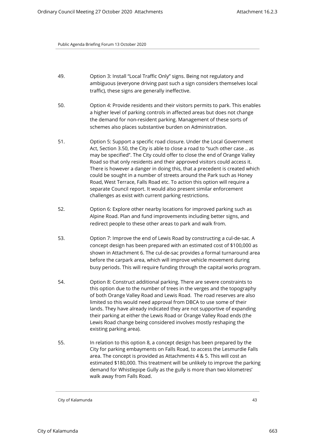- 49. Option 3: Install "Local Traffic Only" signs. Being not regulatory and ambiguous (everyone driving past such a sign considers themselves local traffic), these signs are generally ineffective.
- 50. Option 4: Provide residents and their visitors permits to park. This enables a higher level of parking controls in affected areas but does not change the demand for non-resident parking. Management of these sorts of schemes also places substantive burden on Administration.
- 51. Option 5: Support a specific road closure. Under the Local Government Act, Section 3.50, the City is able to close a road to "such other case .. as may be specified". The City could offer to close the end of Orange Valley Road so that only residents and their approved visitors could access it. There is however a danger in doing this, that a precedent is created which could be sought in a number of streets around the Park such as Honey Road, West Terrace, Falls Road etc. To action this option will require a separate Council report. It would also present similar enforcement challenges as exist with current parking restrictions.
- 52. Option 6: Explore other nearby locations for improved parking such as Alpine Road. Plan and fund improvements including better signs, and redirect people to these other areas to park and walk from.
- 53. Option 7: Improve the end of Lewis Road by constructing a cul-de-sac. A concept design has been prepared with an estimated cost of \$100,000 as shown in Attachment 6. The cul-de-sac provides a formal turnaround area before the carpark area, which will improve vehicle movement during busy periods. This will require funding through the capital works program.
- 54. Option 8: Construct additional parking. There are severe constraints to this option due to the number of trees in the verges and the topography of both Orange Valley Road and Lewis Road. The road reserves are also limited so this would need approval from DBCA to use some of their lands. They have already indicated they are not supportive of expanding their parking at either the Lewis Road or Orange Valley Road ends (the Lewis Road change being considered involves mostly reshaping the existing parking area).
- 55. In relation to this option 8, a concept design has been prepared by the City for parking embayments on Falls Road, to access the Lesmurdie Falls area. The concept is provided as Attachments 4 & 5. This will cost an estimated \$180,000. This treatment will be unlikely to improve the parking demand for Whistlepipe Gully as the gully is more than two kilometres' walk away from Falls Road.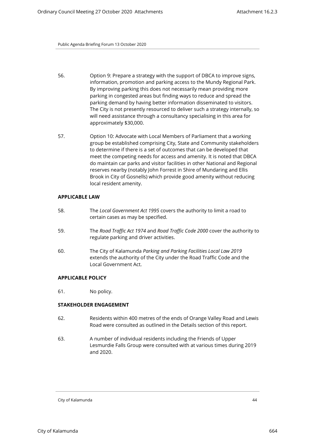- 56. Option 9: Prepare a strategy with the support of DBCA to improve signs, information, promotion and parking access to the Mundy Regional Park. By improving parking this does not necessarily mean providing more parking in congested areas but finding ways to reduce and spread the parking demand by having better information disseminated to visitors. The City is not presently resourced to deliver such a strategy internally, so will need assistance through a consultancy specialising in this area for approximately \$30,000.
- 57. Option 10: Advocate with Local Members of Parliament that a working group be established comprising City, State and Community stakeholders to determine if there is a set of outcomes that can be developed that meet the competing needs for access and amenity. It is noted that DBCA do maintain car parks and visitor facilities in other National and Regional reserves nearby (notably John Forrest in Shire of Mundaring and Ellis Brook in City of Gosnells) which provide good amenity without reducing local resident amenity.

#### **APPLICABLE LAW**

- 58. The *Local Government Act 1995* covers the authority to limit a road to certain cases as may be specified.
- 59. The *Road Traffic Act 1974* and *Road Traffic Code 2000* cover the authority to regulate parking and driver activities.
- 60. The City of Kalamunda *Parking and Parking Facilities Local Law 2019* extends the authority of the City under the Road Traffic Code and the Local Government Act.

## **APPLICABLE POLICY**

61. No policy.

## **STAKEHOLDER ENGAGEMENT**

- 62. Residents within 400 metres of the ends of Orange Valley Road and Lewis Road were consulted as outlined in the Details section of this report.
- 63. A number of individual residents including the Friends of Upper Lesmurdie Falls Group were consulted with at various times during 2019 and 2020.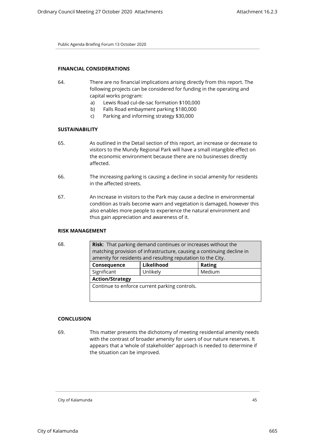# **FINANCIAL CONSIDERATIONS**

- 64. There are no financial implications arising directly from this report. The following projects can be considered for funding in the operating and capital works program:
	- a) Lewis Road cul-de-sac formation \$100,000
	- b) Falls Road embayment parking \$180,000
	- c) Parking and informing strategy \$30,000

## **SUSTAINABILITY**

- 65. As outlined in the Detail section of this report, an increase or decrease to visitors to the Mundy Regional Park will have a small intangible effect on the economic environment because there are no businesses directly affected.
- 66. The increasing parking is causing a decline in social amenity for residents in the affected streets.
- 67. An increase in visitors to the Park may cause a decline in environmental condition as trails become warn and vegetation is damaged, however this also enables more people to experience the natural environment and thus gain appreciation and awareness of it.

# **RISK MANAGEMENT**

| . .<br>٠<br>۰.<br>۰,<br>I<br>i<br>×<br>×<br>۰.<br>۹ |
|-----------------------------------------------------|
|-----------------------------------------------------|

| 68. | <b>Risk:</b> That parking demand continues or increases without the   |                                                             |               |  |
|-----|-----------------------------------------------------------------------|-------------------------------------------------------------|---------------|--|
|     | matching provision of infrastructure, causing a continuing decline in |                                                             |               |  |
|     |                                                                       | amenity for residents and resulting reputation to the City. |               |  |
|     | Consequence                                                           | Likelihood                                                  | <b>Rating</b> |  |
|     | Significant                                                           | Unlikely                                                    | Medium        |  |
|     | <b>Action/Strategy</b>                                                |                                                             |               |  |
|     |                                                                       | Continue to enforce current parking controls.               |               |  |
|     |                                                                       |                                                             |               |  |

#### **CONCLUSION**

69. This matter presents the dichotomy of meeting residential amenity needs with the contrast of broader amenity for users of our nature reserves. It appears that a 'whole of stakeholder' approach is needed to determine if the situation can be improved.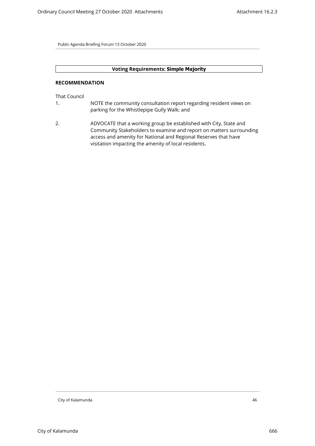# **Voting Requirements: Simple Majority**

## **RECOMMENDATION**

That Council

- 1. NOTE the community consultation report regarding resident views on parking for the Whistlepipe Gully Walk; and
- 2. ADVOCATE that a working group be established with City, State and Community Stakeholders to examine and report on matters surrounding access and amenity for National and Regional Reserves that have visitation impacting the amenity of local residents.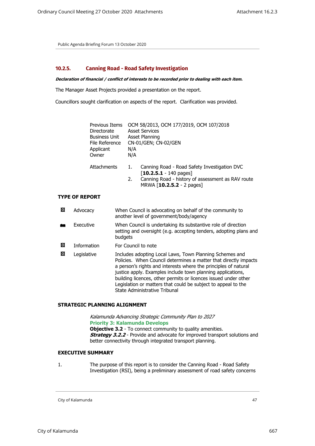## **10.2.5. Canning Road - Road Safety Investigation**

*Declaration of financial / conflict of interests to be recorded prior to dealing with each item.*

The Manager Asset Projects provided a presentation on the report.

Councillors sought clarification on aspects of the report. Clarification was provided.

| Previous Items<br>Directorate<br><b>Business Unit</b><br>File Reference<br>Applicant<br>Owner | N/A<br>N/A | OCM 58/2013, OCM 177/2019, OCM 107/2018<br><b>Asset Services</b><br>Asset Planning<br>CN-01/GEN; CN-02/GEN                                                         |
|-----------------------------------------------------------------------------------------------|------------|--------------------------------------------------------------------------------------------------------------------------------------------------------------------|
| Attachments                                                                                   | 1.<br>2.   | Canning Road - Road Safety Investigation DVC<br>$[10.2.5.1 - 140 \text{ pages}]$<br>Canning Road - history of assessment as RAV route<br>MRWA [10.2.5.2 - 2 pages] |

# **TYPE OF REPORT**

| 図 | Advocacy           | When Council is advocating on behalf of the community to<br>another level of government/body/agency                                                                                                                                                                                                                                                                                                                                |
|---|--------------------|------------------------------------------------------------------------------------------------------------------------------------------------------------------------------------------------------------------------------------------------------------------------------------------------------------------------------------------------------------------------------------------------------------------------------------|
| ш | Executive          | When Council is undertaking its substantive role of direction<br>setting and oversight (e.g. accepting tenders, adopting plans and<br>budgets                                                                                                                                                                                                                                                                                      |
| ⊠ | <b>Information</b> | For Council to note                                                                                                                                                                                                                                                                                                                                                                                                                |
| ⊠ | Legislative        | Includes adopting Local Laws, Town Planning Schemes and<br>Policies. When Council determines a matter that directly impacts<br>a person's rights and interests where the principles of natural<br>justice apply. Examples include town planning applications,<br>building licences, other permits or licences issued under other<br>Legislation or matters that could be subject to appeal to the<br>State Administrative Tribunal |

## **STRATEGIC PLANNING ALIGNMENT**

*Kalamunda Advancing Strategic Community Plan to 2027* **Priority 3: Kalamunda Develops Objective 3.2** - To connect community to quality amenities. **Strategy 3.2.2** - Provide and advocate for improved transport solutions and better connectivity through integrated transport planning.

# **EXECUTIVE SUMMARY**

1. The purpose of this report is to consider the Canning Road - Road Safety Investigation (RSI), being a preliminary assessment of road safety concerns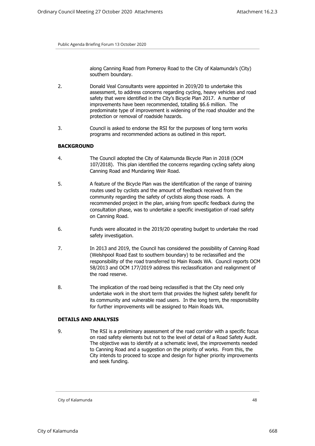along Canning Road from Pomeroy Road to the City of Kalamunda's (City) southern boundary.

- 2. Donald Veal Consultants were appointed in 2019/20 to undertake this assessment, to address concerns regarding cycling, heavy vehicles and road safety that were identified in the City's Bicycle Plan 2017. A number of improvements have been recommended, totalling \$6.6 million. The predominate type of improvement is widening of the road shoulder and the protection or removal of roadside hazards.
- 3. Council is asked to endorse the RSI for the purposes of long term works programs and recommended actions as outlined in this report.

## **BACKGROUND**

- 4. The Council adopted the City of Kalamunda Bicycle Plan in 2018 (OCM 107/2018). This plan identified the concerns regarding cycling safety along Canning Road and Mundaring Weir Road.
- 5. A feature of the Bicycle Plan was the identification of the range of training routes used by cyclists and the amount of feedback received from the community regarding the safety of cyclists along those roads. A recommended project in the plan, arising from specific feedback during the consultation phase, was to undertake a specific investigation of road safety on Canning Road.
- 6. Funds were allocated in the 2019/20 operating budget to undertake the road safety investigation.
- 7. In 2013 and 2019, the Council has considered the possibility of Canning Road (Welshpool Road East to southern boundary) to be reclassified and the responsibility of the road transferred to Main Roads WA. Council reports OCM 58/2013 and OCM 177/2019 address this reclassification and realignment of the road reserve.
- 8. The implication of the road being reclassified is that the City need only undertake work in the short term that provides the highest safety benefit for its community and vulnerable road users. In the long term, the responsibility for further improvements will be assigned to Main Roads WA.

#### **DETAILS AND ANALYSIS**

9. The RSI is a preliminary assessment of the road corridor with a specific focus on road safety elements but not to the level of detail of a Road Safety Audit. The objective was to identify at a schematic level, the improvements needed to Canning Road and a suggestion on the priority of works. From this, the City intends to proceed to scope and design for higher priority improvements and seek funding.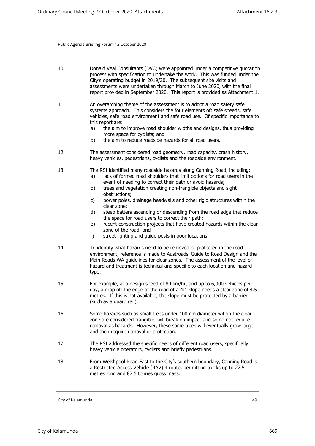- 10. Donald Veal Consultants (DVC) were appointed under a competitive quotation process with specification to undertake the work. This was funded under the City's operating budget in 2019/20. The subsequent site visits and assessments were undertaken through March to June 2020, with the final report provided in September 2020. This report is provided as Attachment 1.
- 11. An overarching theme of the assessment is to adopt a road safety safe systems approach. This considers the four elements of: safe speeds, safe vehicles, safe road environment and safe road use. Of specific importance to this report are:
	- a) the aim to improve road shoulder widths and designs, thus providing more space for cyclists; and
	- b) the aim to reduce roadside hazards for all road users.
- 12. The assessment considered road geometry, road capacity, crash history, heavy vehicles, pedestrians, cyclists and the roadside environment.
- 13. The RSI identified many roadside hazards along Canning Road, including:
	- a) lack of formed road shoulders that limit options for road users in the event of needing to correct their path or avoid hazards;
	- b) trees and vegetation creating non-frangible objects and sight obstructions;
	- c) power poles, drainage headwalls and other rigid structures within the clear zone;
	- d) steep batters ascending or descending from the road edge that reduce the space for road users to correct their path;
	- e) recent construction projects that have created hazards within the clear zone of the road; and
	- f) street lighting and guide posts in poor locations.
- 14. To identify what hazards need to be removed or protected in the road environment, reference is made to Austroads' Guide to Road Design and the Main Roads WA guidelines for clear zones. The assessment of the level of hazard and treatment is technical and specific to each location and hazard type.
- 15. For example, at a design speed of 80 km/hr, and up to 6,000 vehicles per day, a drop off the edge of the road of a 4:1 slope needs a clear zone of 4.5 metres. If this is not available, the slope must be protected by a barrier (such as a guard rail).
- 16. Some hazards such as small trees under 100mm diameter within the clear zone are considered frangible, will break on impact and so do not require removal as hazards. However, these same trees will eventually grow larger and then require removal or protection.
- 17. The RSI addressed the specific needs of different road users, specifically heavy vehicle operators, cyclists and briefly pedestrians.
- 18. From Welshpool Road East to the City's southern boundary, Canning Road is a Restricted Access Vehicle (RAV) 4 route, permitting trucks up to 27.5 metres long and 87.5 tonnes gross mass.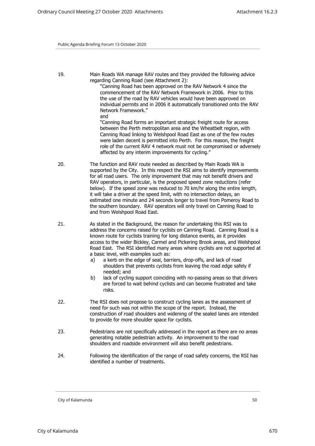19. Main Roads WA manage RAV routes and they provided the following advice regarding Canning Road (see Attachment 2):

"Canning Road has been approved on the RAV Network 4 since the commencement of the RAV Network Framework in 2006. Prior to this the use of the road by RAV vehicles would have been approved on individual permits and in 2006 it automatically transitioned onto the RAV Network Framework." and

"Canning Road forms an important strategic freight route for access between the Perth metropolitan area and the Wheatbelt region, with Canning Road linking to Welshpool Road East as one of the few routes were laden decent is permitted into Perth. For this reason, the freight role of the current RAV 4 network must not be compromised or adversely affected by any interim improvements for cycling."

- 20. The function and RAV route needed as described by Main Roads WA is supported by the City. In this respect the RSI aims to identify improvements for all road users. The only improvement that may not benefit drivers and RAV operators, in particular, is the proposed speed zone reductions (refer below). If the speed zone was reduced to 70 km/hr along the entire length, it will take a driver at the speed limit, with no intersection delays, an estimated one minute and 24 seconds longer to travel from Pomeroy Road to the southern boundary. RAV operators will only travel on Canning Road to and from Welshpool Road East.
- 21. As stated in the Background, the reason for undertaking this RSI was to address the concerns raised for cyclists on Canning Road. Canning Road is a known route for cyclists training for long distance events, as it provides access to the wider Bickley, Carmel and Pickering Brook areas, and Welshpool Road East. The RSI identified many areas where cyclists are not supported at a basic level, with examples such as:
	- a) a kerb on the edge of seal, barriers, drop-offs, and lack of road shoulders that prevents cyclists from leaving the road edge safely if needed; and
	- b) lack of cycling support coinciding with no-passing areas so that drivers are forced to wait behind cyclists and can become frustrated and take risks.
- 22. The RSI does not propose to construct cycling lanes as the assessment of need for such was not within the scope of the report. Instead, the construction of road shoulders and widening of the sealed lanes are intended to provide for more shoulder space for cyclists.
- 23. Pedestrians are not specifically addressed in the report as there are no areas generating notable pedestrian activity. An improvement to the road shoulders and roadside environment will also benefit pedestrians.
- 24. Following the identification of the range of road safety concerns, the RSI has identified a number of treatments.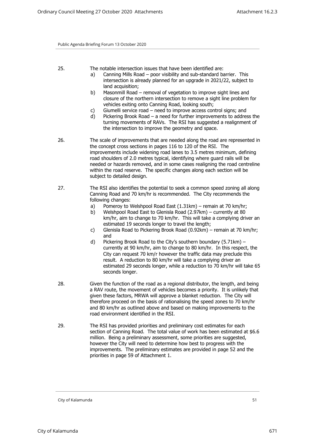- 25. The notable intersection issues that have been identified are:
	- a) Canning Mills Road poor visibility and sub-standard barrier. This intersection is already planned for an upgrade in 2021/22, subject to land acquisition;
	- b) Masonmill Road removal of vegetation to improve sight lines and closure of the northern intersection to remove a sight line problem for vehicles exiting onto Canning Road, looking south;
	- c) Giumelli service road need to improve access control signs; and
	- d) Pickering Brook Road a need for further improvements to address the turning movements of RAVs. The RSI has suggested a realignment of the intersection to improve the geometry and space.
- 26. The scale of improvements that are needed along the road are represented in the concept cross sections in pages 116 to 120 of the RSI. The improvements include widening road lanes to 3.5 metres minimum, defining road shoulders of 2.0 metres typical, identifying where guard rails will be needed or hazards removed, and in some cases realigning the road centreline within the road reserve. The specific changes along each section will be subject to detailed design.
- 27. The RSI also identifies the potential to seek a common speed zoning all along Canning Road and 70 km/hr is recommended. The City recommends the following changes:
	- a) Pomeroy to Welshpool Road East (1.31km) remain at 70 km/hr;
	- b) Welshpool Road East to Glenisla Road (2.97km) currently at 80 km/hr, aim to change to 70 km/hr. This will take a complying driver an estimated 19 seconds longer to travel the length;
	- c) Glenisla Road to Pickering Brook Road (0.92km) remain at 70 km/hr; and
	- d) Pickering Brook Road to the City's southern boundary (5.71km) currently at 90 km/hr, aim to change to 80 km/hr. In this respect, the City can request 70 km/r however the traffic data may preclude this result. A reduction to 80 km/hr will take a complying driver an estimated 29 seconds longer, while a reduction to 70 km/hr will take 65 seconds longer.
- 28. Given the function of the road as a regional distributor, the length, and being a RAV route, the movement of vehicles becomes a priority. It is unlikely that given these factors, MRWA will approve a blanket reduction. The City will therefore proceed on the basis of rationalising the speed zones to 70 km/hr and 80 km/hr as outlined above and based on making improvements to the road environment identified in the RSI.
- 29. The RSI has provided priorities and preliminary cost estimates for each section of Canning Road. The total value of work has been estimated at \$6.6 million. Being a preliminary assessment, some priorities are suggested, however the City will need to determine how best to progress with the improvements. The preliminary estimates are provided in page 52 and the priorities in page 59 of Attachment 1.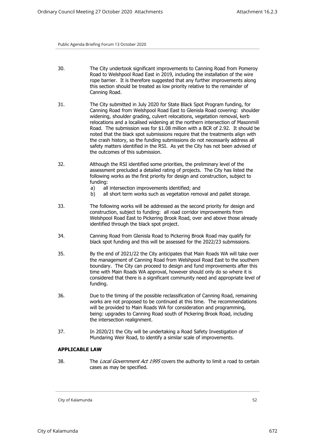- 30. The City undertook significant improvements to Canning Road from Pomeroy Road to Welshpool Road East in 2019, including the installation of the wire rope barrier. It is therefore suggested that any further improvements along this section should be treated as low priority relative to the remainder of Canning Road.
- 31. The City submitted in July 2020 for State Black Spot Program funding, for Canning Road from Welshpool Road East to Glenisla Road covering: shoulder widening, shoulder grading, culvert relocations, vegetation removal, kerb relocations and a localised widening at the northern intersection of Masonmill Road. The submission was for \$1.08 million with a BCR of 2.92. It should be noted that the black spot submissions require that the treatments align with the crash history, so the funding submissions do not necessarily address all safety matters identified in the RSI. As yet the City has not been advised of the outcomes of this submission.
- 32. Although the RSI identified some priorities, the preliminary level of the assessment precluded a detailed rating of projects. The City has listed the following works as the first priority for design and construction, subject to funding:
	- a) all intersection improvements identified; and
	- b) all short term works such as vegetation removal and pallet storage.
- 33. The following works will be addressed as the second priority for design and construction, subject to funding: all road corridor improvements from Welshpool Road East to Pickering Brook Road, over and above those already identified through the black spot project.
- 34. Canning Road from Glenisla Road to Pickering Brook Road may qualify for black spot funding and this will be assessed for the 2022/23 submissions.
- 35. By the end of 2021/22 the City anticipates that Main Roads WA will take over the management of Canning Road from Welshpool Road East to the southern boundary. The City can proceed to design and fund improvements after this time with Main Roads WA approval, however should only do so where it is considered that there is a significant community need and appropriate level of funding.
- 36. Due to the timing of the possible reclassification of Canning Road, remaining works are not proposed to be continued at this time. The recommendations will be provided to Main Roads WA for consideration and programming, being: upgrades to Canning Road south of Pickering Brook Road, including the intersection realignment.
- 37. In 2020/21 the City will be undertaking a Road Safety Investigation of Mundaring Weir Road, to identify a similar scale of improvements.

## **APPLICABLE LAW**

38. The *Local Government Act 1995* covers the authority to limit a road to certain cases as may be specified.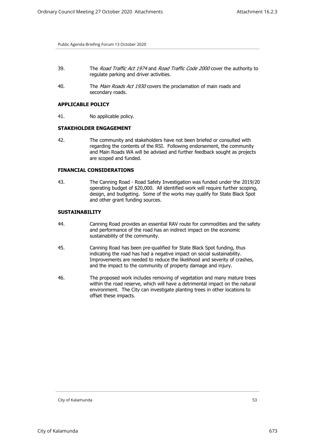- 39. The *Road Traffic Act 1974* and *Road Traffic Code 2000* cover the authority to regulate parking and driver activities.
- 40. The *Main Roads Act 1930* covers the proclamation of main roads and secondary roads.

#### **APPLICABLE POLICY**

41. No applicable policy.

## **STAKEHOLDER ENGAGEMENT**

42. The community and stakeholders have not been briefed or consulted with regarding the contents of the RSI. Following endorsement, the community and Main Roads WA will be advised and further feedback sought as projects are scoped and funded.

## **FINANCIAL CONSIDERATIONS**

43. The Canning Road - Road Safety Investigation was funded under the 2019/20 operating budget of \$20,000. All identified work will require further scoping, design, and budgeting. Some of the works may qualify for State Black Spot and other grant funding sources.

# **SUSTAINABILITY**

- 44. Canning Road provides an essential RAV route for commodities and the safety and performance of the road has an indirect impact on the economic sustainability of the community.
- 45. Canning Road has been pre-qualified for State Black Spot funding, thus indicating the road has had a negative impact on social sustainability. Improvements are needed to reduce the likelihood and severity of crashes, and the impact to the community of property damage and injury.
- 46. The proposed work includes removing of vegetation and many mature trees within the road reserve, which will have a detrimental impact on the natural environment. The City can investigate planting trees in other locations to offset these impacts.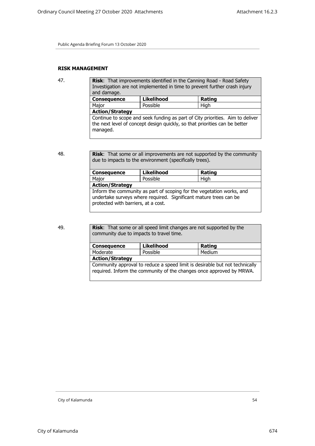# **RISK MANAGEMENT**

| 47. | Risk: That improvements identified in the Canning Road - Road Safety<br>Investigation are not implemented in time to prevent further crash injury<br>and damage.        |                   |        |  |  |
|-----|-------------------------------------------------------------------------------------------------------------------------------------------------------------------------|-------------------|--------|--|--|
|     | <b>Consequence</b>                                                                                                                                                      | <b>Likelihood</b> | Rating |  |  |
|     | Major                                                                                                                                                                   | Possible          | High   |  |  |
|     | <b>Action/Strategy</b>                                                                                                                                                  |                   |        |  |  |
|     | Continue to scope and seek funding as part of City priorities. Aim to deliver<br>the next level of concept design quickly, so that priorities can be better<br>managed. |                   |        |  |  |

48. **Risk**: That some or all improvements are not supported by the community due to impacts to the environment (specifically trees).

| <b>Consequence</b>     | <b>Likelihood</b>                                                                                                                                                                 | Rating |  |
|------------------------|-----------------------------------------------------------------------------------------------------------------------------------------------------------------------------------|--------|--|
| Major                  | Possible                                                                                                                                                                          | High   |  |
| <b>Action/Strategy</b> |                                                                                                                                                                                   |        |  |
|                        | Inform the community as part of scoping for the vegetation works, and<br>undertake surveys where required. Significant mature trees can be<br>protected with barriers, at a cost. |        |  |

49. **Risk**: That some or all speed limit changes are not supported by the community due to impacts to travel time.

| <b>Consequence</b>                                                                                                                                  | Likelihood | Rating |  |
|-----------------------------------------------------------------------------------------------------------------------------------------------------|------------|--------|--|
| Moderate                                                                                                                                            | Possible   | Medium |  |
| <b>Action/Strategy</b>                                                                                                                              |            |        |  |
| Community approval to reduce a speed limit is desirable but not technically<br>required. Inform the community of the changes once approved by MRWA. |            |        |  |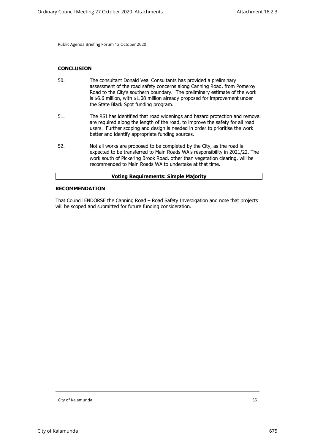## **CONCLUSION**

- 50. The consultant Donald Veal Consultants has provided a preliminary assessment of the road safety concerns along Canning Road, from Pomeroy Road to the City's southern boundary. The preliminary estimate of the work is \$6.6 million, with \$1.08 million already proposed for improvement under the State Black Spot funding program.
- 51. The RSI has identified that road widenings and hazard protection and removal are required along the length of the road, to improve the safety for all road users. Further scoping and design is needed in order to prioritise the work better and identify appropriate funding sources.
- 52. Not all works are proposed to be completed by the City, as the road is expected to be transferred to Main Roads WA's responsibility in 2021/22. The work south of Pickering Brook Road, other than vegetation clearing, will be recommended to Main Roads WA to undertake at that time.

| <b>Voting Requirements: Simple Majority</b> |  |
|---------------------------------------------|--|
|                                             |  |

## **RECOMMENDATION**

That Council ENDORSE the Canning Road – Road Safety Investigation and note that projects will be scoped and submitted for future funding consideration.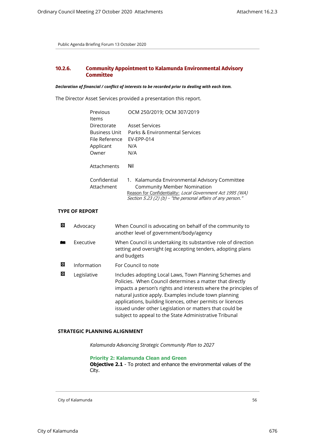# **10.2.6. Community Appointment to Kalamunda Environmental Advisory Committee**

#### *Declaration of financial / conflict of interests to be recorded prior to dealing with each item.*

The Director Asset Services provided a presentation this report.

|   |                      | Previous<br>Items                                                           | OCM 250/2019; OCM 307/2019                                                                                                                                                                                        |  |
|---|----------------------|-----------------------------------------------------------------------------|-------------------------------------------------------------------------------------------------------------------------------------------------------------------------------------------------------------------|--|
|   |                      | Directorate<br><b>Business Unit</b><br>File Reference<br>Applicant<br>Owner | <b>Asset Services</b><br>Parks & Environmental Services<br>EV-EPP-014<br>N/A<br>N/A                                                                                                                               |  |
|   |                      | Attachments                                                                 | Nil                                                                                                                                                                                                               |  |
|   |                      | Confidential<br>Attachment                                                  | 1. Kalamunda Environmental Advisory Committee<br><b>Community Member Nomination</b><br>Reason for Confidentiality: Local Government Act 1995 (WA)<br>Section 5.23 (2) (b) - "the personal affairs of any person." |  |
|   | <b>YPE OF REPORT</b> |                                                                             |                                                                                                                                                                                                                   |  |
| 囟 | Advocacy             |                                                                             | When Council is advocating on behalf of the community to<br>another level of government/body/agency                                                                                                               |  |
|   | Executive            |                                                                             | When Council is undertaking its substantive role of direction<br>setting and oversight (eg accepting tenders, adopting plans<br>and budgets                                                                       |  |
| 図 | Information          |                                                                             | For Council to note                                                                                                                                                                                               |  |
| 図 | Legislative          |                                                                             | Includes adopting Local Laws, Town Planning Schemes and                                                                                                                                                           |  |

Policies. When Council determines a matter that directly impacts a person's rights and interests where the principles of natural justice apply. Examples include town planning applications, building licences, other permits or licences issued under other Legislation or matters that could be subject to appeal to the State Administrative Tribunal

## **STRATEGIC PLANNING ALIGNMENT**

*Kalamunda Advancing Strategic Community Plan to 2027*

**Priority 2: Kalamunda Clean and Green**

**Objective 2.1** - To protect and enhance the environmental values of the City.

City of Kalamunda 56

**TYPE**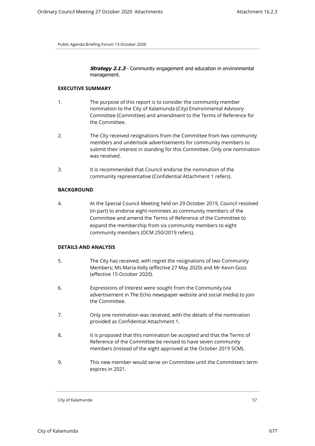**Strategy 2.1.3** - Community engagement and education in environmental management.

#### **EXECUTIVE SUMMARY**

- 1. The purpose of this report is to consider the community member nomination to the City of Kalamunda (City) Environmental Advisory Committee (Committee) and amendment to the Terms of Reference for the Committee.
- 2. The City received resignations from the Committee from two community members and undertook advertisements for community members to submit their interest in standing for this Committee. Only one nomination was received.
- 3. It is recommended that Council endorse the nomination of the community representative (Confidential Attachment 1 refers).

## **BACKGROUND**

4. At the Special Council Meeting held on 29 October 2019, Council resolved (in part) to endorse eight nominees as community members of the Committee and amend the Terms of Reference of the Committee to expand the membership from six community members to eight community members (OCM 250/2019 refers).

# **DETAILS AND ANALYSIS**

- 5. The City has received, with regret the resignations of two Community Members; Ms Maria Kelly (effective 27 May 2020) and Mr Kevin Goss (effective 15 October 2020).
- 6. Expressions of Interest were sought from the Community (via advertisement in The Echo newspaper website and social media) to join the Committee.
- 7. Only one nomination was received, with the details of the nomination provided as Confidential Attachment 1.
- 8. It is proposed that this nomination be accepted and that the Terms of Reference of the Committee be revised to have seven community members (instead of the eight approved at the October 2019 SCM).
- 9. This new member would serve on Committee until the Committee's term expires in 2021.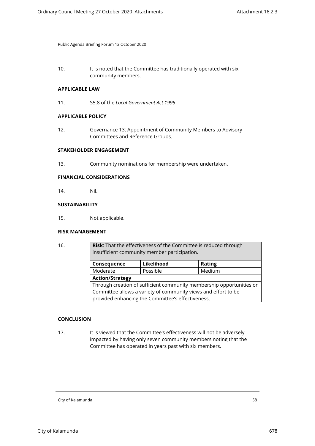10. It is noted that the Committee has traditionally operated with six community members.

## **APPLICABLE LAW**

11. S5.8 of the *Local Government Act 1995*.

## **APPLICABLE POLICY**

12. Governance 13: Appointment of Community Members to Advisory Committees and Reference Groups.

# **STAKEHOLDER ENGAGEMENT**

13. Community nominations for membership were undertaken.

# **FINANCIAL CONSIDERATIONS**

14. Nil.

## **SUSTAINABILITY**

15. Not applicable.

## **RISK MANAGEMENT**

| I | . . |
|---|-----|
|   |     |

Risk: That the effectiveness of the Committee is reduced through insufficient community member participation.

| Consequence                                                          | Likelihood | <b>Rating</b> |  |
|----------------------------------------------------------------------|------------|---------------|--|
| Moderate                                                             | Possible   | Medium        |  |
| <b>Action/Strategy</b>                                               |            |               |  |
| Through creation of sufficient community membership opportunities on |            |               |  |
| Committee allows a variety of community views and effort to be       |            |               |  |
| provided enhancing the Committee's effectiveness.                    |            |               |  |

# **CONCLUSION**

17. It is viewed that the Committee's effectiveness will not be adversely impacted by having only seven community members noting that the Committee has operated in years past with six members.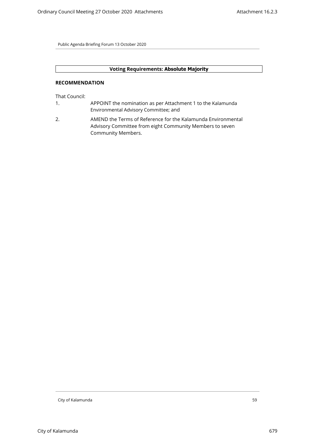# **Voting Requirements: Absolute Majority**

## **RECOMMENDATION**

That Council:

- 1. APPOINT the nomination as per Attachment 1 to the Kalamunda Environmental Advisory Committee; and
- 2. AMEND the Terms of Reference for the Kalamunda Environmental Advisory Committee from eight Community Members to seven Community Members.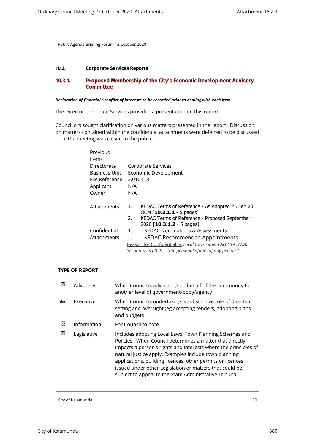# **10.3. Corporate Services Reports**

# **10.3.1. Proposed Membership of the City's Economic Development Advisory Committee**

#### *Declaration of financial / conflict of interests to be recorded prior to dealing with each item.*

The Director Corporate Services provided a presentation on this report.

Councillors sought clarification on various matters presented in the report. Discussion on matters contained within the confidential attachments were deferred to be discussed once the meeting was closed to the public.

| Previous       |                |                                                              |
|----------------|----------------|--------------------------------------------------------------|
| Items          |                |                                                              |
| Directorate    |                | Corporate Services                                           |
| Business Unit  |                | Economic Development                                         |
| File Reference |                | 3.010413                                                     |
| Applicant      | N/A            |                                                              |
| Owner          | N/A            |                                                              |
|                |                |                                                              |
| Attachments    | 1.             | KEDAC Terms of Reference - As Adopted 25 Feb 20              |
|                |                | $OCM$ [10.3.1.1 - 5 pages]                                   |
|                | 2.             | KEDAC Terms of Reference - Proposed September                |
|                |                | 2020 $[10.3.1.2 - 5$ pages]                                  |
| Confidential   | $\mathbf{1}$ . | <b>KEDAC Nominations &amp; Assessments</b>                   |
| Attachments    | 2.             | KEDAC Recommended Appointments                               |
|                |                | Reason for Confidentiality: Local Government Act 1995 (WA)   |
|                |                | Section 5.23 (2) (b) - "the personal affairs of any person." |

# **TYPE OF REPORT**

| ⊠ | Advocacy    | When Council is advocating on behalf of the community to<br>another level of government/body/agency                                                                                                                                                                                                                                                                                                                                |
|---|-------------|------------------------------------------------------------------------------------------------------------------------------------------------------------------------------------------------------------------------------------------------------------------------------------------------------------------------------------------------------------------------------------------------------------------------------------|
| 麟 | Executive   | When Council is undertaking is substantive role of direction<br>setting and oversight (eg accepting tenders, adopting plans<br>and budgets                                                                                                                                                                                                                                                                                         |
| ⊠ | Information | For Council to note                                                                                                                                                                                                                                                                                                                                                                                                                |
| ⊠ | Legislative | Includes adopting Local Laws, Town Planning Schemes and<br>Policies. When Council determines a matter that directly<br>impacts a person's rights and interests where the principles of<br>natural justice apply. Examples include town planning<br>applications, building licences, other permits or licences<br>issued under other Legislation or matters that could be<br>subject to appeal to the State Administrative Tribunal |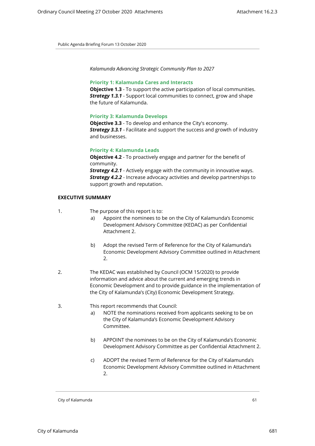*Kalamunda Advancing Strategic Community Plan to 2027*

#### **Priority 1: Kalamunda Cares and Interacts**

**Objective 1.3** - To support the active participation of local communities. *Strategy 1.3.1* - Support local communities to connect, grow and shape the future of Kalamunda.

### **Priority 3: Kalamunda Develops**

**Objective 3.3** - To develop and enhance the City's economy. *Strategy 3.3.1* - Facilitate and support the success and growth of industry and businesses.

## **Priority 4: Kalamunda Leads**

**Objective 4.2** - To proactively engage and partner for the benefit of community. *Strategy 4.2.1* - Actively engage with the community in innovative ways.

**Strategy 4.2.2** - Increase advocacy activities and develop partnerships to support growth and reputation.

## **EXECUTIVE SUMMARY**

- 1. The purpose of this report is to:
	- Appoint the nominees to be on the City of Kalamunda's Economic Development Advisory Committee (KEDAC) as per Confidential Attachment 2.
	- b) Adopt the revised Term of Reference for the City of Kalamunda's Economic Development Advisory Committee outlined in Attachment 2.
- 2. The KEDAC was established by Council (OCM 15/2020) to provide information and advice about the current and emerging trends in Economic Development and to provide guidance in the implementation of the City of Kalamunda's (City) Economic Development Strategy.
- 3. This report recommends that Council:
	- a) NOTE the nominations received from applicants seeking to be on the City of Kalamunda's Economic Development Advisory Committee.
	- b) APPOINT the nominees to be on the City of Kalamunda's Economic Development Advisory Committee as per Confidential Attachment 2.
	- c) ADOPT the revised Term of Reference for the City of Kalamunda's Economic Development Advisory Committee outlined in Attachment  $\mathcal{L}$

City of Kalamunda 61 and 200 km in the control of the control of the control of the control of the control of the control of the control of the control of the control of the control of the control of the control of the con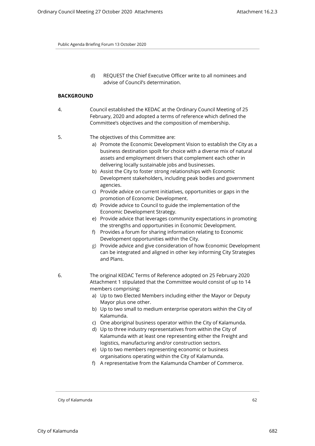d) REQUEST the Chief Executive Officer write to all nominees and advise of Council's determination.

## **BACKGROUND**

4. Council established the KEDAC at the Ordinary Council Meeting of 25 February, 2020 and adopted a terms of reference which defined the Committee's objectives and the composition of membership.

## 5. The objectives of this Committee are:

- a) Promote the Economic Development Vision to establish the City as a business destination spoilt for choice with a diverse mix of natural assets and employment drivers that complement each other in delivering locally sustainable jobs and businesses.
- b) Assist the City to foster strong relationships with Economic Development stakeholders, including peak bodies and government agencies.
- c) Provide advice on current initiatives, opportunities or gaps in the promotion of Economic Development.
- d) Provide advice to Council to guide the implementation of the Economic Development Strategy.
- e) Provide advice that leverages community expectations in promoting the strengths and opportunities in Economic Development.
- f) Provides a forum for sharing information relating to Economic Development opportunities within the City.
- g) Provide advice and give consideration of how Economic Development can be integrated and aligned in other key informing City Strategies and Plans.
- 6. The original KEDAC Terms of Reference adopted on 25 February 2020 Attachment 1 stipulated that the Committee would consist of up to 14 members comprising:
	- a) Up to two Elected Members including either the Mayor or Deputy Mayor plus one other.
	- b) Up to two small to medium enterprise operators within the City of Kalamunda.
	- c) One aboriginal business operator within the City of Kalamunda.
	- d) Up to three industry representatives from within the City of Kalamunda with at least one representing either the Freight and logistics, manufacturing and/or construction sectors.
	- e) Up to two members representing economic or business organisations operating within the City of Kalamunda.
	- f) A representative from the Kalamunda Chamber of Commerce.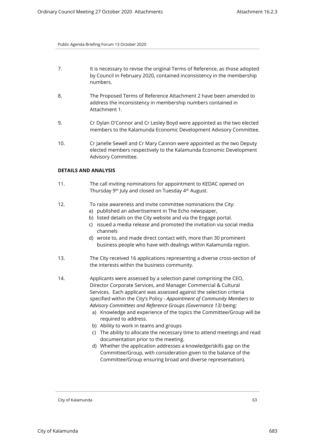- 7. It is necessary to revise the original Terms of Reference, as those adopted by Council in February 2020, contained inconsistency in the membership numbers.
- 8. The Proposed Terms of Reference Attachment 2 have been amended to address the inconsistency in membership numbers contained in Attachment 1.
- 9. Cr Dylan O'Connor and Cr Lesley Boyd were appointed as the two elected members to the Kalamunda Economic Development Advisory Committee.
- 10. Cr Janelle Sewell and Cr Mary Cannon were appointed as the two Deputy elected members respectively to the Kalamunda Economic Development Advisory Committee.

## **DETAILS AND ANALYSIS**

- 11. The call inviting nominations for appointment to KEDAC opened on Thursday 9th July and closed on Tuesday 4th August.
- 12. To raise awareness and invite committee nominations the City:
	- a) published an advertisement in The Echo newspaper,
	- b) listed details on the City website and via the Engage portal.
	- c) issued a media release and promoted the invitation via social media channels
	- d) wrote to, and made direct contact with, more than 30 prominent business people who have with dealings within Kalamunda region.
- 13. The City received 16 applications representing a diverse cross-section of the interests within the business community.
- 14. Applicants were assessed by a selection panel comprising the CEO, Director Corporate Services, and Manager Commercial & Cultural Services. Each applicant was assessed against the selection criteria specified within the City's Policy - *Appointment of Community Members to Advisory Committees and Reference Groups (Governance 13)* being:
	- a) Knowledge and experience of the topics the Committee/Group will be required to address.
	- b) Ability to work in teams and groups
	- c) The ability to allocate the necessary time to attend meetings and read documentation prior to the meeting.
	- d) Whether the application addresses a knowledge/skills gap on the Committee/Group, with consideration given to the balance of the Committee/Group ensuring broad and diverse representation).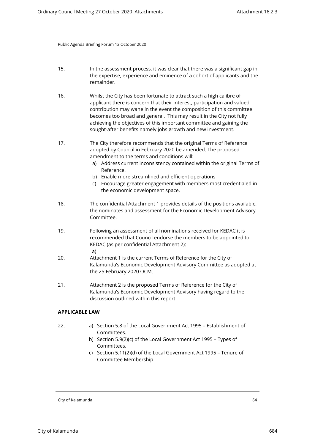- 15. In the assessment process, it was clear that there was a significant gap in the expertise, experience and eminence of a cohort of applicants and the remainder.
- 16. Whilst the City has been fortunate to attract such a high calibre of applicant there is concern that their interest, participation and valued contribution may wane in the event the composition of this committee becomes too broad and general. This may result in the City not fully achieving the objectives of this important committee and gaining the sought-after benefits namely jobs growth and new investment.
- 17. The City therefore recommends that the original Terms of Reference adopted by Council in February 2020 be amended. The proposed amendment to the terms and conditions will:
	- a) Address current inconsistency contained within the original Terms of Reference.
	- b) Enable more streamlined and efficient operations
	- c) Encourage greater engagement with members most credentialed in the economic development space.
- 18. The confidential Attachment 1 provides details of the positions available, the nominates and assessment for the Economic Development Advisory Committee.
- 19. Following an assessment of all nominations received for KEDAC it is recommended that Council endorse the members to be appointed to KEDAC (as per confidential Attachment 2): a)
- 20. Attachment 1 is the current Terms of Reference for the City of Kalamunda's Economic Development Advisory Committee as adopted at the 25 February 2020 OCM.
- 21. Attachment 2 is the proposed Terms of Reference for the City of Kalamunda's Economic Development Advisory having regard to the discussion outlined within this report.

# **APPLICABLE LAW**

- 22. a) Section 5.8 of the Local Government Act 1995 Establishment of Committees.
	- b) Section 5.9(2)(c) of the Local Government Act 1995 Types of Committees.
	- c) Section 5.11(2)(d) of the Local Government Act 1995 Tenure of Committee Membership.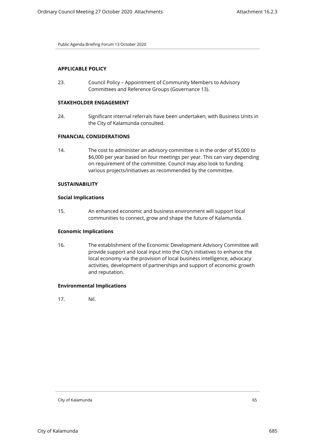# **APPLICABLE POLICY**

23. Council Policy – Appointment of Community Members to Advisory Committees and Reference Groups (Governance 13).

## **STAKEHOLDER ENGAGEMENT**

24. Significant internal referrals have been undertaken, with Business Units in the City of Kalamunda consulted.

# **FINANCIAL CONSIDERATIONS**

14. The cost to administer an advisory committee is in the order of \$5,000 to \$6,000 per year based on four meetings per year. This can vary depending on requirement of the committee. Council may also look to funding various projects/initiatives as recommended by the committee.

# **SUSTAINABILITY**

## **Social Implications**

15. An enhanced economic and business environment will support local communities to connect, grow and shape the future of Kalamunda.

#### **Economic Implications**

16. The establishment of the Economic Development Advisory Committee will provide support and local input into the City's initiatives to enhance the local economy via the provision of local business intelligence, advocacy activities, development of partnerships and support of economic growth and reputation.

## **Environmental Implications**

17. Nil.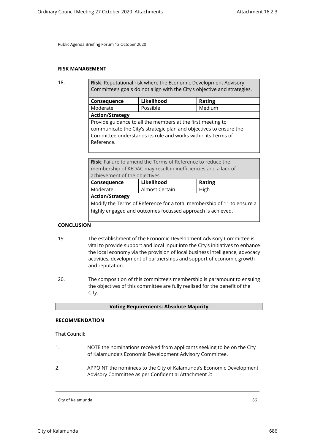# **RISK MANAGEMENT**

18. **Risk**: Reputational risk where the Economic Development Advisory Committee's goals do not align with the City's objective and strategies.

| Consequence                                                        | Likelihood | <b>Rating</b> |
|--------------------------------------------------------------------|------------|---------------|
| Moderate                                                           | Possible   | Medium        |
| <b>Action/Strategy</b>                                             |            |               |
| Provide guidance to all the members at the first meeting to        |            |               |
| communicate the City's strategic plan and objectives to ensure the |            |               |
| Committee understands its role and works within its Terms of       |            |               |
| Reference.                                                         |            |               |

| <b>Risk:</b> Failure to amend the Terms of Reference to reduce the     |               |  |
|------------------------------------------------------------------------|---------------|--|
| membership of KEDAC may result in inefficiencies and a lack of         |               |  |
| achievement of the objectives.                                         |               |  |
| Likelihood                                                             | <b>Rating</b> |  |
| Almost Certain                                                         | High          |  |
| <b>Action/Strategy</b>                                                 |               |  |
| Modify the Terms of Reference for a total membership of 11 to ensure a |               |  |
| highly engaged and outcomes focussed approach is achieved.             |               |  |
|                                                                        |               |  |

# **CONCLUSION**

- 19. The establishment of the Economic Development Advisory Committee is vital to provide support and local input into the City's initiatives to enhance the local economy via the provision of local business intelligence, advocacy activities, development of partnerships and support of economic growth and reputation.
- 20. The composition of this committee's membership is paramount to ensuing the objectives of this committee are fully realised for the benefit of the City.

## **Voting Requirements: Absolute Majority**

### **RECOMMENDATION**

That Council:

- 1. NOTE the nominations received from applicants seeking to be on the City of Kalamunda's Economic Development Advisory Committee.
- 2. APPOINT the nominees to the City of Kalamunda's Economic Development Advisory Committee as per Confidential Attachment 2: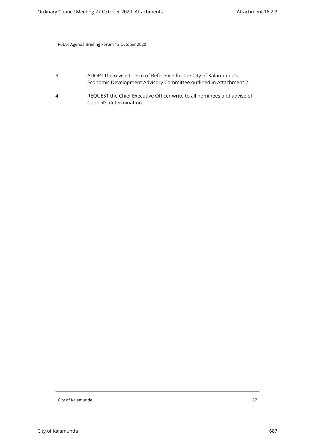- 3. ADOPT the revised Term of Reference for the City of Kalamunda's Economic Development Advisory Committee outlined in Attachment 2.
- 4. REQUEST the Chief Executive Officer write to all nominees and advise of Council's determination.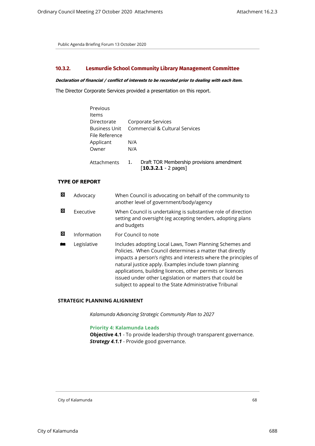# **10.3.2. Lesmurdie School Community Library Management Committee**

#### *Declaration of financial / conflict of interests to be recorded prior to dealing with each item.*

The Director Corporate Services provided a presentation on this report.

| Corporate Services                                                        |
|---------------------------------------------------------------------------|
| Commercial & Cultural Services                                            |
|                                                                           |
| N/A                                                                       |
| N/A                                                                       |
|                                                                           |
| Draft TOR Membership provisions amendment<br>1.<br>$[10.3.2.1 - 2$ pages] |
|                                                                           |

## **TYPE OF REPORT**

| ⊠ | Advocacy    | When Council is advocating on behalf of the community to<br>another level of government/body/agency                                                                                                                                                                                                                                                                                                                                |
|---|-------------|------------------------------------------------------------------------------------------------------------------------------------------------------------------------------------------------------------------------------------------------------------------------------------------------------------------------------------------------------------------------------------------------------------------------------------|
| 囨 | Executive   | When Council is undertaking is substantive role of direction<br>setting and oversight (eg accepting tenders, adopting plans<br>and budgets                                                                                                                                                                                                                                                                                         |
| 囨 | Information | For Council to note                                                                                                                                                                                                                                                                                                                                                                                                                |
|   | Legislative | Includes adopting Local Laws, Town Planning Schemes and<br>Policies. When Council determines a matter that directly<br>impacts a person's rights and interests where the principles of<br>natural justice apply. Examples include town planning<br>applications, building licences, other permits or licences<br>issued under other Legislation or matters that could be<br>subject to appeal to the State Administrative Tribunal |

# **STRATEGIC PLANNING ALIGNMENT**

*Kalamunda Advancing Strategic Community Plan to 2027*

# **Priority 4: Kalamunda Leads**

**Objective 4.1** - To provide leadership through transparent governance. *Strategy 4.1.1* - Provide good governance.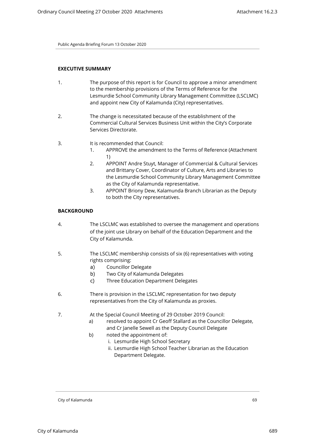## **EXECUTIVE SUMMARY**

- 1. The purpose of this report is for Council to approve a minor amendment to the membership provisions of the Terms of Reference for the Lesmurdie School Community Library Management Committee (LSCLMC) and appoint new City of Kalamunda (City) representatives.
- 2. The change is necessitated because of the establishment of the Commercial Cultural Services Business Unit within the City's Corporate Services Directorate.

## 3. It is recommended that Council:

- 1. APPROVE the amendment to the Terms of Reference (Attachment 1)
- 2. APPOINT Andre Stuyt, Manager of Commercial & Cultural Services and Brittany Cover, Coordinator of Culture, Arts and Libraries to the Lesmurdie School Community Library Management Committee as the City of Kalamunda representative.
- 3. APPOINT Briony Dew, Kalamunda Branch Librarian as the Deputy to both the City representatives.

## **BACKGROUND**

- 4. The LSCLMC was established to oversee the management and operations of the joint use Library on behalf of the Education Department and the City of Kalamunda.
- 5. The LSCLMC membership consists of six (6) representatives with voting rights comprising:
	- a) Councillor Delegate
	- b) Two City of Kalamunda Delegates
	- c) Three Education Department Delegates
- 6. There is provision in the LSCLMC representation for two deputy representatives from the City of Kalamunda as proxies.
- 7. At the Special Council Meeting of 29 October 2019 Council:
	- a) resolved to appoint Cr Geoff Stallard as the Councillor Delegate, and Cr Janelle Sewell as the Deputy Council Delegate
	- b) noted the appointment of:
		- i. Lesmurdie High School Secretary
		- ii. Lesmurdie High School Teacher Librarian as the Education Department Delegate.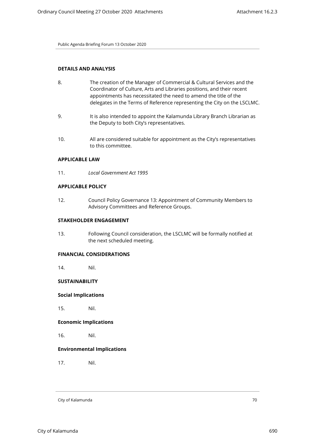# **DETAILS AND ANALYSIS**

- 8. The creation of the Manager of Commercial & Cultural Services and the Coordinator of Culture, Arts and Libraries positions, and their recent appointments has necessitated the need to amend the title of the delegates in the Terms of Reference representing the City on the LSCLMC.
- 9. It is also intended to appoint the Kalamunda Library Branch Librarian as the Deputy to both City's representatives.
- 10. All are considered suitable for appointment as the City's representatives to this committee.

# **APPLICABLE LAW**

11. *Local Government Act 1995*

## **APPLICABLE POLICY**

12. Council Policy Governance 13: Appointment of Community Members to Advisory Committees and Reference Groups.

#### **STAKEHOLDER ENGAGEMENT**

13. Following Council consideration, the LSCLMC will be formally notified at the next scheduled meeting.

#### **FINANCIAL CONSIDERATIONS**

14. Nil.

# **SUSTAINABILITY**

#### **Social Implications**

15. Nil.

# **Economic Implications**

16. Nil.

## **Environmental Implications**

17. Nil.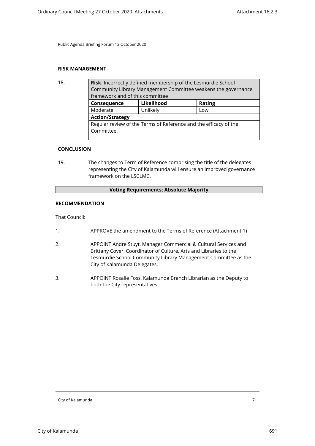# **RISK MANAGEMENT**

| 18. | <b>Risk:</b> Incorrectly defined membership of the Lesmurdie School |            |               |  |
|-----|---------------------------------------------------------------------|------------|---------------|--|
|     | Community Library Management Committee weakens the governance       |            |               |  |
|     | framework and of this committee                                     |            |               |  |
|     | Consequence                                                         | Likelihood | <b>Rating</b> |  |
|     | Moderate                                                            | Unlikely   | Low           |  |
|     | <b>Action/Strategy</b>                                              |            |               |  |
|     | Regular review of the Terms of Reference and the efficacy of the    |            |               |  |
|     | Committee.                                                          |            |               |  |
|     |                                                                     |            |               |  |

# **CONCLUSION**

19. The changes to Term of Reference comprising the title of the delegates representing the City of Kalamunda will ensure an improved governance framework on the LSCLMC.

# **Voting Requirements: Absolute Majority**

## **RECOMMENDATION**

That Council:

- 1. APPROVE the amendment to the Terms of Reference (Attachment 1)
- 2. APPOINT Andre Stuyt, Manager Commercial & Cultural Services and Brittany Cover, Coordinator of Culture, Arts and Libraries to the Lesmurdie School Community Library Management Committee as the City of Kalamunda Delegates.
- 3. APPOINT Rosalie Foss, Kalamunda Branch Librarian as the Deputy to both the City representatives.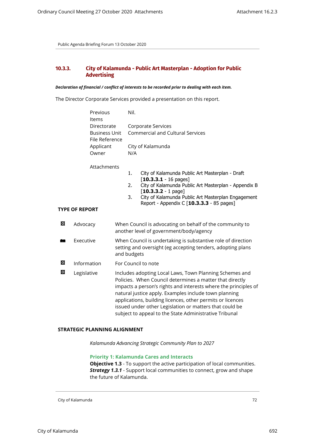# **10.3.3. City of Kalamunda - Public Art Masterplan - Adoption for Public Advertising**

#### *Declaration of financial / conflict of interests to be recorded prior to dealing with each item.*

The Director Corporate Services provided a presentation on this report.

| Previous       | Nil.                             |
|----------------|----------------------------------|
| Items          |                                  |
| Directorate    | Corporate Services               |
| Business Unit  | Commercial and Cultural Services |
| File Reference |                                  |
| Applicant      | City of Kalamunda                |
| Owner          | N/A                              |

## Attachments

- 1. City of Kalamunda Public Art Masterplan Draft [**10.3.3.1** - 16 pages]
- 2. City of Kalamunda Public Art Masterplan Appendix B [**10.3.3.2** - 1 page]
- 3. City of Kalamunda Public Art Masterplan Engagement Report - Appendix C [**10.3.3.3** - 85 pages]

#### **TYPE OF REPORT**

| ⊠ | Advocacy    | When Council is advocating on behalf of the community to<br>another level of government/body/agency                                                                                                                                                                                                                                                                                                                                |
|---|-------------|------------------------------------------------------------------------------------------------------------------------------------------------------------------------------------------------------------------------------------------------------------------------------------------------------------------------------------------------------------------------------------------------------------------------------------|
| m | Executive   | When Council is undertaking is substantive role of direction<br>setting and oversight (eg accepting tenders, adopting plans<br>and budgets                                                                                                                                                                                                                                                                                         |
| ⊠ | Information | For Council to note                                                                                                                                                                                                                                                                                                                                                                                                                |
| ⊠ | Legislative | Includes adopting Local Laws, Town Planning Schemes and<br>Policies. When Council determines a matter that directly<br>impacts a person's rights and interests where the principles of<br>natural justice apply. Examples include town planning<br>applications, building licences, other permits or licences<br>issued under other Legislation or matters that could be<br>subject to appeal to the State Administrative Tribunal |

#### **STRATEGIC PLANNING ALIGNMENT**

*Kalamunda Advancing Strategic Community Plan to 2027*

**Priority 1: Kalamunda Cares and Interacts**

**Objective 1.3** - To support the active participation of local communities. *Strategy 1.3.1* - Support local communities to connect, grow and shape the future of Kalamunda.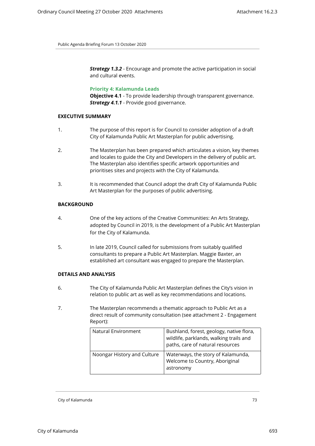**Strategy 1.3.2** - Encourage and promote the active participation in social and cultural events.

**Priority 4: Kalamunda Leads**

**Objective 4.1** - To provide leadership through transparent governance. *Strategy 4.1.1* - Provide good governance.

#### **EXECUTIVE SUMMARY**

- 1. The purpose of this report is for Council to consider adoption of a draft City of Kalamunda Public Art Masterplan for public advertising.
- 2. The Masterplan has been prepared which articulates a vision, key themes and locales to guide the City and Developers in the delivery of public art. The Masterplan also identifies specific artwork opportunities and prioritises sites and projects with the City of Kalamunda.
- 3. It is recommended that Council adopt the draft City of Kalamunda Public Art Masterplan for the purposes of public advertising.

# **BACKGROUND**

- 4. One of the key actions of the Creative Communities: An Arts Strategy, adopted by Council in 2019, is the development of a Public Art Masterplan for the City of Kalamunda.
- 5. In late 2019, Council called for submissions from suitably qualified consultants to prepare a Public Art Masterplan. Maggie Baxter, an established art consultant was engaged to prepare the Masterplan.

# **DETAILS AND ANALYSIS**

- 6. The City of Kalamunda Public Art Masterplan defines the City's vision in relation to public art as well as key recommendations and locations.
- 7. The Masterplan recommends a thematic approach to Public Art as a direct result of community consultation (see attachment 2 - Engagement Report):

| Natural Environment         | Bushland, forest, geology, native flora,<br>wildlife, parklands, walking trails and<br>paths, care of natural resources |
|-----------------------------|-------------------------------------------------------------------------------------------------------------------------|
| Noongar History and Culture | Waterways, the story of Kalamunda,<br>Welcome to Country, Aboriginal<br>astronomy                                       |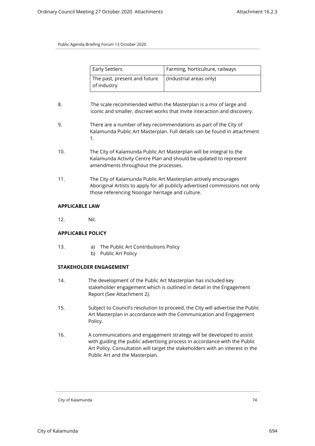| <b>Early Settlers</b>                       | Farming, horticulture, railways |
|---------------------------------------------|---------------------------------|
| The past, present and future<br>of industry | (Industrial areas only)         |

- 8. The scale recommended within the Masterplan is a mix of large and iconic and smaller, discreet works that invite interaction and discovery.
- 9. There are a number of key recommendations as part of the City of Kalamunda Public Art Masterplan. Full details can be found in attachment 1.
- 10. The City of Kalamunda Public Art Masterplan will be integral to the Kalamunda Activity Centre Plan and should be updated to represent amendments throughout the processes.
- 11. The City of Kalamunda Public Art Masterplan actively encourages Aboriginal Artists to apply for all publicly advertised commissions not only those referencing Noongar heritage and culture.

# **APPLICABLE LAW**

12. Nil.

# **APPLICABLE POLICY**

- 13. a) The Public Art Contributions Policy
	- b) Public Art Policy

# **STAKEHOLDER ENGAGEMENT**

- 14. The development of the Public Art Masterplan has included key stakeholder engagement which is outlined in detail in the Engagement Report (See Attachment 2).
- 15. Subject to Council's resolution to proceed, the City will advertise the Public Art Masterplan in accordance with the Communication and Engagement Policy.
- 16. A communications and engagement strategy will be developed to assist with guiding the public advertising process in accordance with the Public Art Policy. Consultation will target the stakeholders with an interest in the Public Art and the Masterplan.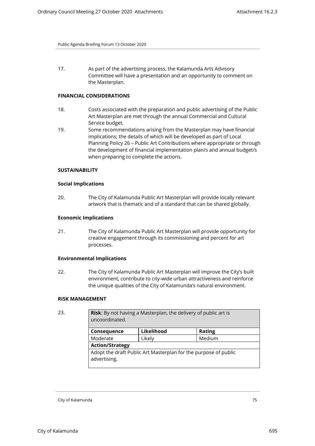17. As part of the advertising process, the Kalamunda Arts Advisory Committee will have a presentation and an opportunity to comment on the Masterplan.

# **FINANCIAL CONSIDERATIONS**

- 18. Costs associated with the preparation and public advertising of the Public Art Masterplan are met through the annual Commercial and Cultural Service budget.
- 19. Some recommendations arising from the Masterplan may have financial implications; the details of which will be developed as part of Local Planning Policy 26 – Public Art Contributions where appropriate or through the development of financial implementation plan/s and annual budget/s when preparing to complete the actions.

#### **SUSTAINABILITY**

# **Social Implications**

20. The City of Kalamunda Public Art Masterplan will provide locally relevant artwork that is thematic and of a standard that can be shared globally.

# **Economic Implications**

21. The City of Kalamunda Public Art Masterplan will provide opportunity for creative engagement through its commissioning and percent for art processes.

#### **Environmental Implications**

22. The City of Kalamunda Public Art Masterplan will improve the City's built environment, contribute to city-wide urban attractiveness and reinforce the unique qualities of the City of Kalamunda's natural environment.

#### **RISK MANAGEMENT**

| <b>Risk:</b> By not having a Masterplan, the delivery of public art is<br>uncoordinated. |            |               |  |
|------------------------------------------------------------------------------------------|------------|---------------|--|
| Consequence                                                                              | Likelihood | <b>Rating</b> |  |
| Moderate                                                                                 | Likely     | Medium        |  |
| <b>Action/Strategy</b>                                                                   |            |               |  |
| Adopt the draft Public Art Masterplan for the purpose of public<br>advertising.          |            |               |  |
|                                                                                          |            |               |  |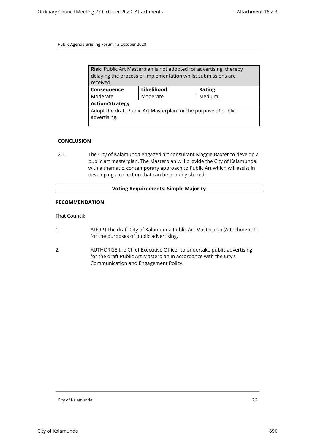| Risk: Public Art Masterplan is not adopted for advertising, thereby             |          |        |  |
|---------------------------------------------------------------------------------|----------|--------|--|
| delaying the process of implementation whilst submissions are                   |          |        |  |
| received.                                                                       |          |        |  |
| Likelihood<br><b>Rating</b><br>Consequence                                      |          |        |  |
| Moderate                                                                        | Moderate | Medium |  |
| <b>Action/Strategy</b>                                                          |          |        |  |
| Adopt the draft Public Art Masterplan for the purpose of public<br>advertising. |          |        |  |

#### **CONCLUSION**

20. The City of Kalamunda engaged art consultant Maggie Baxter to develop a public art masterplan. The Masterplan will provide the City of Kalamunda with a thematic, contemporary approach to Public Art which will assist in developing a collection that can be proudly shared.

# **Voting Requirements: Simple Majority**

#### **RECOMMENDATION**

That Council:

- 1. ADOPT the draft City of Kalamunda Public Art Masterplan (Attachment 1) for the purposes of public advertising.
- 2. AUTHORISE the Chief Executive Officer to undertake public advertising for the draft Public Art Masterplan in accordance with the City's Communication and Engagement Policy.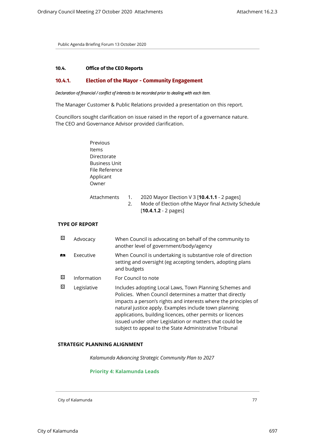# **10.4. Office of the CEO Reports**

# **10.4.1. Election of the Mayor - Community Engagement**

#### *Declaration of financial / conflict of interests to be recorded prior to dealing with each item.*

The Manager Customer & Public Relations provided a presentation on this report.

Councillors sought clarification on issue raised in the report of a governance nature. The CEO and Governance Advisor provided clarification.

| Previous<br>Items<br>Directorate<br><b>Business Unit</b><br>File Reference<br>Applicant<br>Owner |          |                                                                                                                                 |
|--------------------------------------------------------------------------------------------------|----------|---------------------------------------------------------------------------------------------------------------------------------|
| Attachments                                                                                      | 1.<br>2. | 2020 Mayor Election V 3 [10.4.1.1 - 2 pages]<br>Mode of Election of the Mayor final Activity Schedule<br>$[10.4.1.2 - 2$ pages] |

# **TYPE OF REPORT**

| ⊠ | Advocacy    | When Council is advocating on behalf of the community to<br>another level of government/body/agency                                                                                                                                                                                                                                                                                                                                |
|---|-------------|------------------------------------------------------------------------------------------------------------------------------------------------------------------------------------------------------------------------------------------------------------------------------------------------------------------------------------------------------------------------------------------------------------------------------------|
| 虝 | Executive   | When Council is undertaking is substantive role of direction<br>setting and oversight (eg accepting tenders, adopting plans<br>and budgets                                                                                                                                                                                                                                                                                         |
| ⊠ | Information | For Council to note                                                                                                                                                                                                                                                                                                                                                                                                                |
| ⊠ | Legislative | Includes adopting Local Laws, Town Planning Schemes and<br>Policies. When Council determines a matter that directly<br>impacts a person's rights and interests where the principles of<br>natural justice apply. Examples include town planning<br>applications, building licences, other permits or licences<br>issued under other Legislation or matters that could be<br>subject to appeal to the State Administrative Tribunal |

# **STRATEGIC PLANNING ALIGNMENT**

*Kalamunda Advancing Strategic Community Plan to 2027*

# **Priority 4: Kalamunda Leads**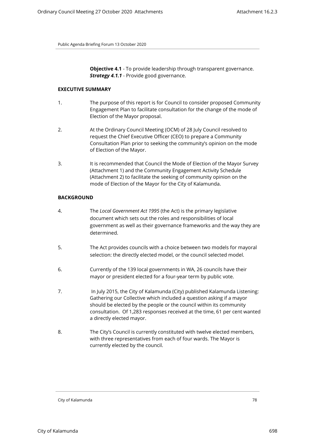**Objective 4.1** - To provide leadership through transparent governance. *Strategy 4.1.1* - Provide good governance.

#### **EXECUTIVE SUMMARY**

- 1. The purpose of this report is for Council to consider proposed Community Engagement Plan to facilitate consultation for the change of the mode of Election of the Mayor proposal.
- 2. At the Ordinary Council Meeting (OCM) of 28 July Council resolved to request the Chief Executive Officer (CEO) to prepare a Community Consultation Plan prior to seeking the community's opinion on the mode of Election of the Mayor.
- 3. It is recommended that Council the Mode of Election of the Mayor Survey (Attachment 1) and the Community Engagement Activity Schedule (Attachment 2) to facilitate the seeking of community opinion on the mode of Election of the Mayor for the City of Kalamunda.

#### **BACKGROUND**

- 4. The *Local Government Act 1995* (the Act) is the primary legislative document which sets out the roles and responsibilities of local government as well as their governance frameworks and the way they are determined.
- 5. The Act provides councils with a choice between two models for mayoral selection: the directly elected model, or the council selected model.
- 6. Currently of the 139 local governments in WA, 26 councils have their mayor or president elected for a four-year term by public vote.
- 7. In July 2015, the City of Kalamunda (City) published Kalamunda Listening: Gathering our Collective which included a question asking if a mayor should be elected by the people or the council within its community consultation. Of 1,283 responses received at the time, 61 per cent wanted a directly elected mayor.
- 8. The City's Council is currently constituted with twelve elected members, with three representatives from each of four wards. The Mayor is currently elected by the council.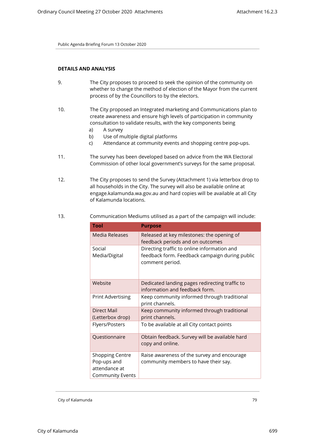# **DETAILS AND ANALYSIS**

- 9. The City proposes to proceed to seek the opinion of the community on whether to change the method of election of the Mayor from the current process of by the Councillors to by the electors.
- 10. The City proposed an Integrated marketing and Communications plan to create awareness and ensure high levels of participation in community consultation to validate results, with the key components being
	- a) A survey
	- b) Use of multiple digital platforms
	- c) Attendance at community events and shopping centre pop-ups.
- 11. The survey has been developed based on advice from the WA Electoral Commission of other local government's surveys for the same proposal.
- 12. The City proposes to send the Survey (Attachment 1) via letterbox drop to all households in the City. The survey will also be available online at engage.kalamunda.wa.gov.au and hard copies will be available at all City of Kalamunda locations.

| <b>Tool</b>                                                                       | <b>Purpose</b>                                                                                                   |  |
|-----------------------------------------------------------------------------------|------------------------------------------------------------------------------------------------------------------|--|
| Media Releases                                                                    | Released at key milestones: the opening of<br>feedback periods and on outcomes                                   |  |
| Social<br>Media/Digital                                                           | Directing traffic to online information and<br>feedback form. Feedback campaign during public<br>comment period. |  |
| Website                                                                           | Dedicated landing pages redirecting traffic to<br>information and feedback form.                                 |  |
| <b>Print Advertising</b>                                                          | Keep community informed through traditional<br>print channels.                                                   |  |
| Direct Mail<br>(Letterbox drop)                                                   | Keep community informed through traditional<br>print channels.                                                   |  |
| Flyers/Posters                                                                    | To be available at all City contact points                                                                       |  |
| Questionnaire                                                                     | Obtain feedback. Survey will be available hard<br>copy and online.                                               |  |
| <b>Shopping Centre</b><br>Pop-ups and<br>attendance at<br><b>Community Events</b> | Raise awareness of the survey and encourage<br>community members to have their say.                              |  |

13. Communication Mediums utilised as a part of the campaign will include: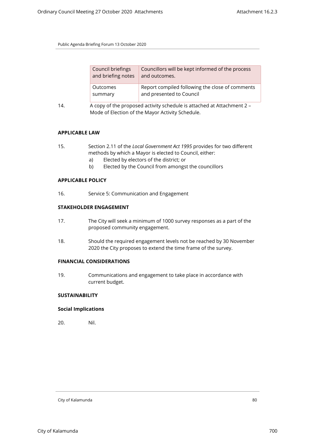| Council briefings  | Councillors will be kept informed of the process |
|--------------------|--------------------------------------------------|
| and briefing notes | and outcomes.                                    |
| Outcomes           | Report compiled following the close of comments  |
| summary            | and presented to Council                         |

14. A copy of the proposed activity schedule is attached at Attachment 2 – Mode of Election of the Mayor Activity Schedule.

# **APPLICABLE LAW**

- 15. Section 2.11 of the *Local Government Act 1995* provides for two different methods by which a Mayor is elected to Council, either:
	- a) Elected by electors of the district; or
	- b) Elected by the Council from amongst the councillors

# **APPLICABLE POLICY**

16. Service 5: Communication and Engagement

# **STAKEHOLDER ENGAGEMENT**

- 17. The City will seek a minimum of 1000 survey responses as a part of the proposed community engagement.
- 18. Should the required engagement levels not be reached by 30 November 2020 the City proposes to extend the time frame of the survey.

# **FINANCIAL CONSIDERATIONS**

19. Communications and engagement to take place in accordance with current budget.

# **SUSTAINABILITY**

# **Social Implications**

20. Nil.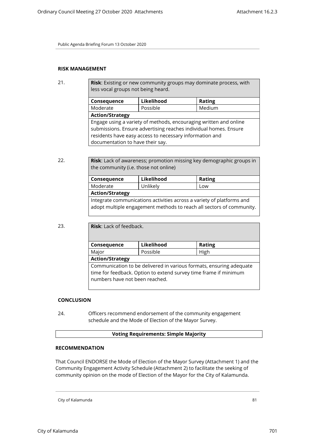# **RISK MANAGEMENT**

21. **Risk**: Existing or new community groups may dominate process, with less vocal groups not being heard.

| Consequence                                                                                                                           | Likelihood | <b>Rating</b> |  |
|---------------------------------------------------------------------------------------------------------------------------------------|------------|---------------|--|
| Moderate                                                                                                                              | Possible   | Medium        |  |
| <b>Action/Strategy</b>                                                                                                                |            |               |  |
| Engage using a variety of methods, encouraging written and online<br>submissions. Ensure advertising reaches individual homes. Ensure |            |               |  |
| residents have easy access to necessary information and                                                                               |            |               |  |
| documentation to have their say.                                                                                                      |            |               |  |

22. **Risk**: Lack of awareness; promotion missing key demographic groups in the community (i.e. those not online)

| Consequence                                                                                                                                   | Likelihood | <b>Rating</b> |
|-----------------------------------------------------------------------------------------------------------------------------------------------|------------|---------------|
| Moderate                                                                                                                                      | Unlikely   | Low           |
| <b>Action/Strategy</b>                                                                                                                        |            |               |
| Integrate communications activities across a variety of platforms and<br>adopt multiple engagement methods to reach all sectors of community. |            |               |

| 23. | <b>Risk:</b> Lack of feedback.                                                                                                                                            |            |               |  |
|-----|---------------------------------------------------------------------------------------------------------------------------------------------------------------------------|------------|---------------|--|
|     | Consequence                                                                                                                                                               | Likelihood | <b>Rating</b> |  |
|     | Major                                                                                                                                                                     | Possible   | High          |  |
|     | <b>Action/Strategy</b>                                                                                                                                                    |            |               |  |
|     | Communication to be delivered in various formats, ensuring adequate<br>time for feedback. Option to extend survey time frame if minimum<br>numbers have not been reached. |            |               |  |

# **CONCLUSION**

24. Officers recommend endorsement of the community engagement schedule and the Mode of Election of the Mayor Survey.

# **Voting Requirements: Simple Majority**

# **RECOMMENDATION**

That Council ENDORSE the Mode of Election of the Mayor Survey (Attachment 1) and the Community Engagement Activity Schedule (Attachment 2) to facilitate the seeking of community opinion on the mode of Election of the Mayor for the City of Kalamunda.